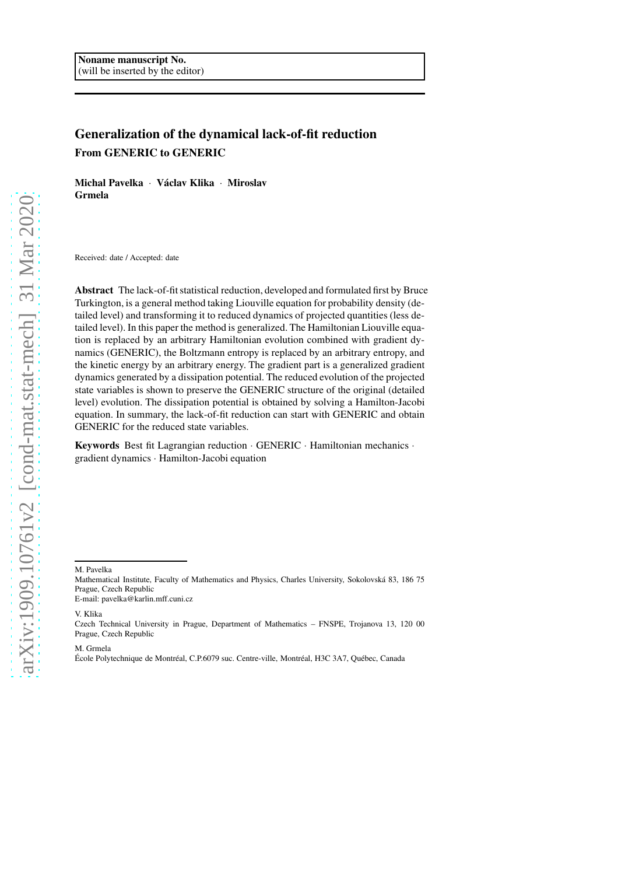# Generalization of the dynamical lack-of-fit reduction From GENERIC to GENERIC

Michal Pavelka · Václav Klika · Miroslav Grmela

Received: date / Accepted: date

Abstract The lack-of-fit statistical reduction, developed and formulated first by Bruce Turkington, is a general method taking Liouville equation for probability density (detailed level) and transforming it to reduced dynamics of projected quantities (less detailed level). In this paper the method is generalized. The Hamiltonian Liouville equation is replaced by an arbitrary Hamiltonian evolution combined with gradient dynamics (GENERIC), the Boltzmann entropy is replaced by an arbitrary entropy, and the kinetic energy by an arbitrary energy. The gradient part is a generalized gradient dynamics generated by a dissipation potential. The reduced evolution of the projected state variables is shown to preserve the GENERIC structure of the original (detailed level) evolution. The dissipation potential is obtained by solving a Hamilton-Jacobi equation. In summary, the lack-of-fit reduction can start with GENERIC and obtain GENERIC for the reduced state variables.

Keywords Best fit Lagrangian reduction · GENERIC · Hamiltonian mechanics · gradient dynamics · Hamilton-Jacobi equation

M. Pavelka

E-mail: pavelka@karlin.mff.cuni.cz

V. Klika

M. Grmela

Mathematical Institute, Faculty of Mathematics and Physics, Charles University, Sokolovská 83, 186 75 Prague, Czech Republic

Czech Technical University in Prague, Department of Mathematics – FNSPE, Trojanova 13, 120 00 Prague, Czech Republic

École Polytechnique de Montréal, C.P.6079 suc. Centre-ville, Montréal, H3C 3A7, Québec, Canada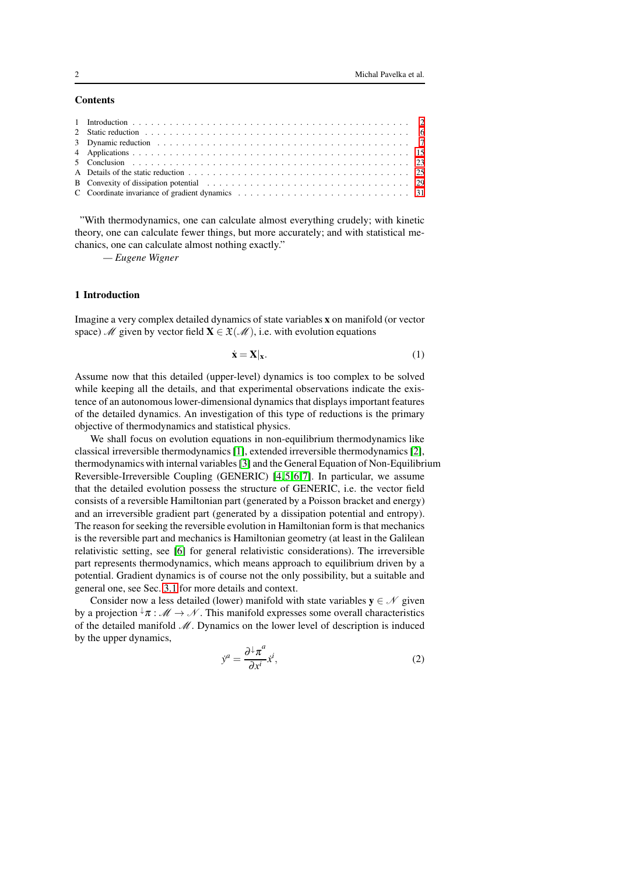## **Contents**

"With thermodynamics, one can calculate almost everything crudely; with kinetic theory, one can calculate fewer things, but more accurately; and with statistical mechanics, one can calculate almost nothing exactly."

*— Eugene Wigner*

#### <span id="page-1-0"></span>1 Introduction

Imagine a very complex detailed dynamics of state variables x on manifold (or vector space) M given by vector field  $X \in \mathfrak{X}(\mathcal{M})$ , i.e. with evolution equations

$$
\dot{\mathbf{x}} = \mathbf{X}|_{\mathbf{x}}.\tag{1}
$$

Assume now that this detailed (upper-level) dynamics is too complex to be solved while keeping all the details, and that experimental observations indicate the existence of an autonomous lower-dimensional dynamics that displays important features of the detailed dynamics. An investigation of this type of reductions is the primary objective of thermodynamics and statistical physics.

We shall focus on evolution equations in non-equilibrium thermodynamics like classical irreversible thermodynamics [\[1\]](#page-22-1), extended irreversible thermodynamics [\[2\]](#page-23-0), thermodynamics with internal variables [\[3\]](#page-23-1) and the General Equation of Non-Equilibrium Reversible-Irreversible Coupling (GENERIC) [\[4,](#page-23-2)[5,](#page-23-3)[6,](#page-23-4)[7\]](#page-23-5). In particular, we assume that the detailed evolution possess the structure of GENERIC, i.e. the vector field consists of a reversible Hamiltonian part (generated by a Poisson bracket and energy) and an irreversible gradient part (generated by a dissipation potential and entropy). The reason for seeking the reversible evolution in Hamiltonian form is that mechanics is the reversible part and mechanics is Hamiltonian geometry (at least in the Galilean relativistic setting, see [\[6\]](#page-23-4) for general relativistic considerations). The irreversible part represents thermodynamics, which means approach to equilibrium driven by a potential. Gradient dynamics is of course not the only possibility, but a suitable and general one, see Sec. [3.1](#page-6-1) for more details and context.

Consider now a less detailed (lower) manifold with state variables  $y \in \mathcal{N}$  given by a projection  $\sqrt[n]{\pi}$  :  $\mathcal{M} \rightarrow \mathcal{N}$ . This manifold expresses some overall characteristics of the detailed manifold  $M$ . Dynamics on the lower level of description is induced by the upper dynamics,

$$
\dot{y}^a = \frac{\partial^{\downarrow} \pi^a}{\partial x^i} \dot{x}^i,\tag{2}
$$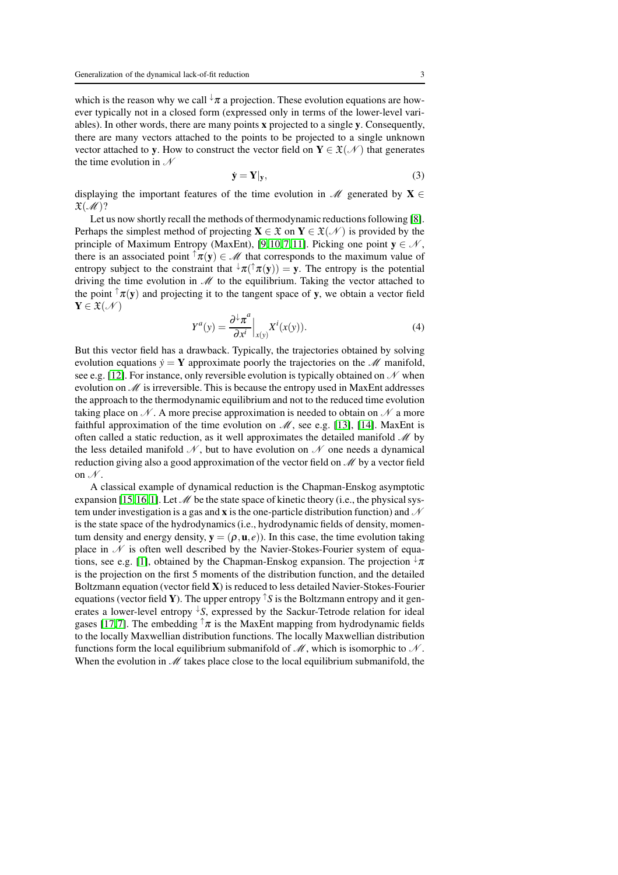which is the reason why we call  $\sqrt{u}$  a projection. These evolution equations are however typically not in a closed form (expressed only in terms of the lower-level variables). In other words, there are many points x projected to a single y. Consequently, there are many vectors attached to the points to be projected to a single unknown vector attached to y. How to construct the vector field on  $Y \in \mathfrak{X}(\mathcal{N})$  that generates the time evolution in  $\mathcal N$ 

$$
\dot{\mathbf{y}} = \mathbf{Y} | \mathbf{y}, \tag{3}
$$

displaying the important features of the time evolution in  $\mathcal{M}$  generated by  $\mathbf{X} \in$  $\mathfrak{X}(\mathcal{M})$ ?

Let us now shortly recall the methods of thermodynamic reductions following [\[8\]](#page-23-6). Perhaps the simplest method of projecting  $X \in \mathfrak{X}$  on  $Y \in \mathfrak{X}(\mathcal{N})$  is provided by the principle of Maximum Entropy (MaxEnt), [\[9,](#page-23-7)[10,](#page-23-8)[7,](#page-23-5)[11\]](#page-23-9). Picking one point  $y \in \mathcal{N}$ , there is an associated point  $\uparrow \pi(y) \in \mathcal{M}$  that corresponds to the maximum value of entropy subject to the constraint that  $\psi \pi(T(\mathbf{y})) = \mathbf{y}$ . The entropy is the potential driving the time evolution in  $M$  to the equilibrium. Taking the vector attached to the point  $\tau(\mathbf{y})$  and projecting it to the tangent space of y, we obtain a vector field  $Y \in \mathfrak{X}(\mathcal{N})$ 

$$
Y^{a}(y) = \frac{\partial^{\downarrow} \pi^{a}}{\partial x^{i}} \Big|_{x(y)} X^{i}(x(y)). \tag{4}
$$

But this vector field has a drawback. Typically, the trajectories obtained by solving evolution equations  $\dot{y} = Y$  approximate poorly the trajectories on the *M* manifold, see e.g. [\[12\]](#page-23-10). For instance, only reversible evolution is typically obtained on  $\mathcal N$  when evolution on  $M$  is irreversible. This is because the entropy used in MaxEnt addresses the approach to the thermodynamic equilibrium and not to the reduced time evolution taking place on  $\mathcal N$ . A more precise approximation is needed to obtain on  $\mathcal N$  a more faithful approximation of the time evolution on  $\mathcal{M}$ , see e.g. [\[13\]](#page-23-11), [\[14\]](#page-23-12). MaxEnt is often called a static reduction, as it well approximates the detailed manifold  $\mathcal M$  by the less detailed manifold  $\mathcal N$ , but to have evolution on  $\mathcal N$  one needs a dynamical reduction giving also a good approximation of the vector field on  $\mathcal{M}$  by a vector field on  $\mathcal N$ .

A classical example of dynamical reduction is the Chapman-Enskog asymptotic expansion [\[15,](#page-23-13)[16,](#page-23-14)[1\]](#page-22-1). Let  $\mathcal M$  be the state space of kinetic theory (i.e., the physical system under investigation is a gas and **x** is the one-particle distribution function) and  $\mathcal N$ is the state space of the hydrodynamics (i.e., hydrodynamic fields of density, momentum density and energy density,  $y = (\rho, \mathbf{u}, \epsilon)$ ). In this case, the time evolution taking place in  $\mathcal N$  is often well described by the Navier-Stokes-Fourier system of equa-tions, see e.g. [\[1\]](#page-22-1), obtained by the Chapman-Enskog expansion. The projection  $\sqrt[n]{\pi}$ is the projection on the first 5 moments of the distribution function, and the detailed Boltzmann equation (vector field X) is reduced to less detailed Navier-Stokes-Fourier equations (vector field Y). The upper entropy  $\hat{\ }S$  is the Boltzmann entropy and it generates a lower-level entropy  $\sqrt{k}$ , expressed by the Sackur-Tetrode relation for ideal gases [\[17,](#page-23-15)[7\]](#page-23-5). The embedding  $\hat{\tau}$  is the MaxEnt mapping from hydrodynamic fields to the locally Maxwellian distribution functions. The locally Maxwellian distribution functions form the local equilibrium submanifold of  $\mathcal{M}$ , which is isomorphic to  $\mathcal{N}$ . When the evolution in  $\mathcal M$  takes place close to the local equilibrium submanifold, the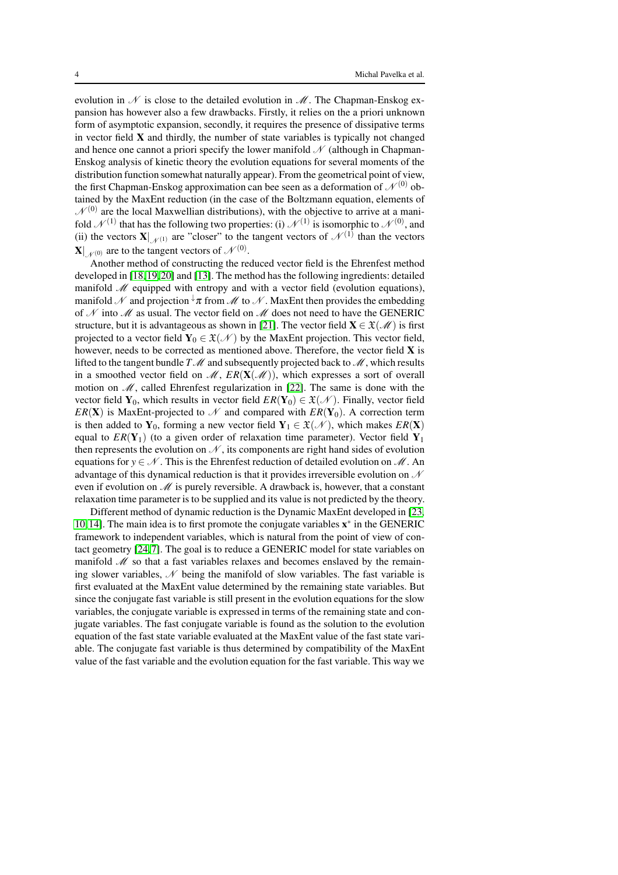evolution in  $\mathcal N$  is close to the detailed evolution in  $\mathcal M$ . The Chapman-Enskog expansion has however also a few drawbacks. Firstly, it relies on the a priori unknown form of asymptotic expansion, secondly, it requires the presence of dissipative terms in vector field  $X$  and thirdly, the number of state variables is typically not changed and hence one cannot a priori specify the lower manifold  $\mathcal N$  (although in Chapman-Enskog analysis of kinetic theory the evolution equations for several moments of the distribution function somewhat naturally appear). From the geometrical point of view, the first Chapman-Enskog approximation can bee seen as a deformation of  $\mathcal{N}^{(0)}$  obtained by the MaxEnt reduction (in the case of the Boltzmann equation, elements of  $\mathcal{N}^{(0)}$  are the local Maxwellian distributions), with the objective to arrive at a manifold  $\mathcal{N}^{(1)}$  that has the following two properties: (i)  $\mathcal{N}^{(1)}$  is isomorphic to  $\mathcal{N}^{(0)}$ , and (ii) the vectors  $\mathbf{X}|_{\mathcal{N}^{(1)}}$  are "closer" to the tangent vectors of  $\mathcal{N}^{(1)}$  than the vectors  $\mathbf{X}|_{\mathcal{N}^{(0)}}$  are to the tangent vectors of  $\mathcal{N}^{(0)}$ .

Another method of constructing the reduced vector field is the Ehrenfest method developed in [\[18,](#page-23-16)[19,](#page-23-17)[20\]](#page-23-18) and [\[13\]](#page-23-11). The method has the following ingredients: detailed manifold  $M$  equipped with entropy and with a vector field (evolution equations), manifold N and projection  $\sqrt[n]{\pi}$  from M to N. MaxEnt then provides the embedding of  $N$  into  $M$  as usual. The vector field on  $M$  does not need to have the GENERIC structure, but it is advantageous as shown in [\[21\]](#page-23-19). The vector field  $\mathbf{X} \in \mathcal{X}(\mathcal{M})$  is first projected to a vector field  $Y_0 \in \mathfrak{X}(\mathcal{N})$  by the MaxEnt projection. This vector field, however, needs to be corrected as mentioned above. Therefore, the vector field X is lifted to the tangent bundle  $T\mathcal{M}$  and subsequently projected back to  $\mathcal{M}$ , which results in a smoothed vector field on  $\mathcal{M}, ER(\mathbf{X}(\mathcal{M}))$ , which expresses a sort of overall motion on  $M$ , called Ehrenfest regularization in [\[22\]](#page-23-20). The same is done with the vector field  $Y_0$ , which results in vector field  $ER(Y_0) \in \mathfrak{X}(\mathcal{N})$ . Finally, vector field *ER(X)* is MaxEnt-projected to  $\mathcal N$  and compared with  $ER(Y_0)$ . A correction term is then added to  $Y_0$ , forming a new vector field  $Y_1 \in \mathfrak{X}(\mathcal{N})$ , which makes  $ER(X)$ equal to  $ER(Y_1)$  (to a given order of relaxation time parameter). Vector field  $Y_1$ then represents the evolution on  $\mathcal N$ , its components are right hand sides of evolution equations for  $y \in \mathcal{N}$ . This is the Ehrenfest reduction of detailed evolution on  $\mathcal{M}$ . An advantage of this dynamical reduction is that it provides irreversible evolution on  $\mathcal N$ even if evolution on  $\mathcal M$  is purely reversible. A drawback is, however, that a constant relaxation time parameter is to be supplied and its value is not predicted by the theory.

Different method of dynamic reduction is the Dynamic MaxEnt developed in [\[23,](#page-23-21) [10,](#page-23-8)[14\]](#page-23-12). The main idea is to first promote the conjugate variables  $x^*$  in the GENERIC framework to independent variables, which is natural from the point of view of contact geometry [\[24,](#page-23-22)[7\]](#page-23-5). The goal is to reduce a GENERIC model for state variables on manifold  $\mathcal M$  so that a fast variables relaxes and becomes enslaved by the remaining slower variables,  $\mathcal N$  being the manifold of slow variables. The fast variable is first evaluated at the MaxEnt value determined by the remaining state variables. But since the conjugate fast variable is still present in the evolution equations for the slow variables, the conjugate variable is expressed in terms of the remaining state and conjugate variables. The fast conjugate variable is found as the solution to the evolution equation of the fast state variable evaluated at the MaxEnt value of the fast state variable. The conjugate fast variable is thus determined by compatibility of the MaxEnt value of the fast variable and the evolution equation for the fast variable. This way we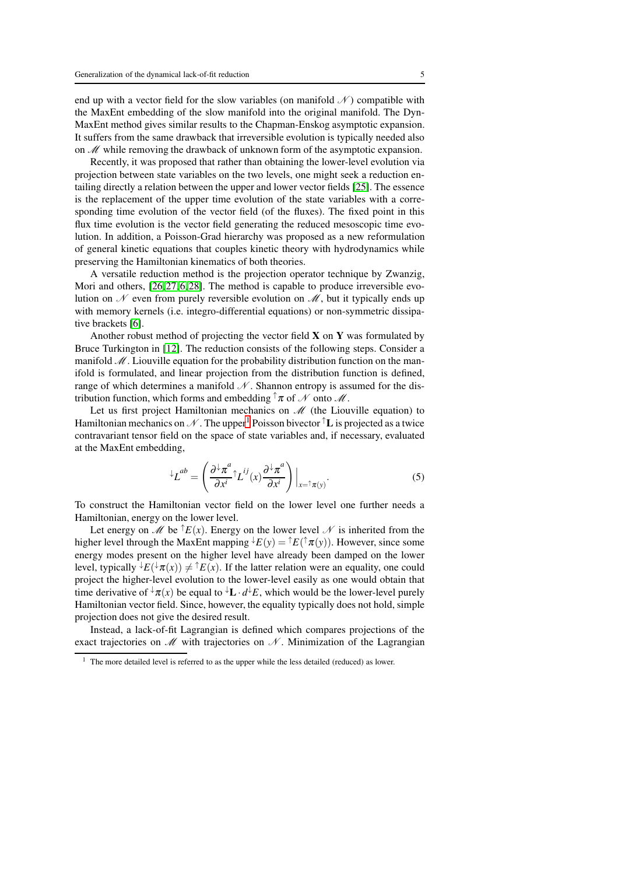end up with a vector field for the slow variables (on manifold  $\mathcal N$ ) compatible with the MaxEnt embedding of the slow manifold into the original manifold. The Dyn-MaxEnt method gives similar results to the Chapman-Enskog asymptotic expansion. It suffers from the same drawback that irreversible evolution is typically needed also on  $M$  while removing the drawback of unknown form of the asymptotic expansion.

Recently, it was proposed that rather than obtaining the lower-level evolution via projection between state variables on the two levels, one might seek a reduction entailing directly a relation between the upper and lower vector fields [\[25\]](#page-23-23). The essence is the replacement of the upper time evolution of the state variables with a corresponding time evolution of the vector field (of the fluxes). The fixed point in this flux time evolution is the vector field generating the reduced mesoscopic time evolution. In addition, a Poisson-Grad hierarchy was proposed as a new reformulation of general kinetic equations that couples kinetic theory with hydrodynamics while preserving the Hamiltonian kinematics of both theories.

A versatile reduction method is the projection operator technique by Zwanzig, Mori and others, [\[26,](#page-23-24)[27,](#page-23-25)[6,](#page-23-4)[28\]](#page-23-26). The method is capable to produce irreversible evolution on  $\mathcal N$  even from purely reversible evolution on  $\mathcal M$ , but it typically ends up with memory kernels (i.e. integro-differential equations) or non-symmetric dissipative brackets [\[6\]](#page-23-4).

Another robust method of projecting the vector field  $X$  on  $Y$  was formulated by Bruce Turkington in [\[12\]](#page-23-10). The reduction consists of the following steps. Consider a manifold  $\mathcal M$ . Liouville equation for the probability distribution function on the manifold is formulated, and linear projection from the distribution function is defined, range of which determines a manifold  $\mathcal N$ . Shannon entropy is assumed for the distribution function, which forms and embedding  $\uparrow \pi$  of N onto M.

Let us first project Hamiltonian mechanics on  $\mathcal M$  (the Liouville equation) to Hamiltonian mechanics on  $\mathcal N$ . The upper<sup>[1](#page-4-0)</sup> Poisson bivector  $\mathcal T$  is projected as a twice contravariant tensor field on the space of state variables and, if necessary, evaluated at the MaxEnt embedding,

$$
^{\downarrow}L^{ab} = \left(\frac{\partial^{\downarrow}\pi^a}{\partial x^i} \uparrow L^{ij}(x) \frac{\partial^{\downarrow}\pi^a}{\partial x^i}\right)\Big|_{x=\uparrow \pi(y)}.
$$
 (5)

To construct the Hamiltonian vector field on the lower level one further needs a Hamiltonian, energy on the lower level.

Let energy on  $\mathscr M$  be  $\hat{E}(x)$ . Energy on the lower level  $\mathscr N$  is inherited from the higher level through the MaxEnt mapping  $\overline{\psi}(y) = \overline{\psi}(y) = \overline{\psi}(y)$ . However, since some energy modes present on the higher level have already been damped on the lower level, typically  ${}^{\downarrow}E({}^{\downarrow}\pi(x)) \neq {}^{\uparrow}E(x)$ . If the latter relation were an equality, one could project the higher-level evolution to the lower-level easily as one would obtain that time derivative of  $\sqrt[t]{\pi(x)}$  be equal to  $\sqrt[t]{L} \cdot d \sqrt[t]{E}$ , which would be the lower-level purely Hamiltonian vector field. Since, however, the equality typically does not hold, simple projection does not give the desired result.

Instead, a lack-of-fit Lagrangian is defined which compares projections of the exact trajectories on  $\mathcal M$  with trajectories on  $\mathcal N$ . Minimization of the Lagrangian

<span id="page-4-0"></span> $1$  The more detailed level is referred to as the upper while the less detailed (reduced) as lower.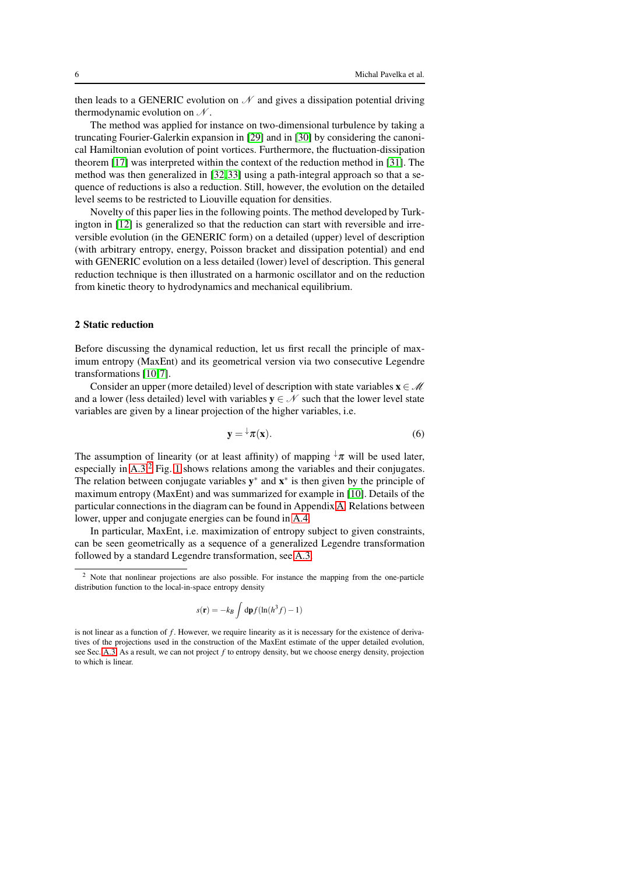then leads to a GENERIC evolution on  $\mathcal N$  and gives a dissipation potential driving thermodynamic evolution on  $\mathcal N$ .

The method was applied for instance on two-dimensional turbulence by taking a truncating Fourier-Galerkin expansion in [\[29\]](#page-23-27) and in [\[30\]](#page-23-28) by considering the canonical Hamiltonian evolution of point vortices. Furthermore, the fluctuation-dissipation theorem [\[17\]](#page-23-15) was interpreted within the context of the reduction method in [\[31\]](#page-23-29). The method was then generalized in [\[32,](#page-23-30)[33\]](#page-23-31) using a path-integral approach so that a sequence of reductions is also a reduction. Still, however, the evolution on the detailed level seems to be restricted to Liouville equation for densities.

Novelty of this paper lies in the following points. The method developed by Turkington in [\[12\]](#page-23-10) is generalized so that the reduction can start with reversible and irreversible evolution (in the GENERIC form) on a detailed (upper) level of description (with arbitrary entropy, energy, Poisson bracket and dissipation potential) and end with GENERIC evolution on a less detailed (lower) level of description. This general reduction technique is then illustrated on a harmonic oscillator and on the reduction from kinetic theory to hydrodynamics and mechanical equilibrium.

## <span id="page-5-0"></span>2 Static reduction

Before discussing the dynamical reduction, let us first recall the principle of maximum entropy (MaxEnt) and its geometrical version via two consecutive Legendre transformations [\[10,](#page-23-8)[7\]](#page-23-5).

Consider an upper (more detailed) level of description with state variables  $x \in \mathcal{M}$ and a lower (less detailed) level with variables  $y \in \mathcal{N}$  such that the lower level state variables are given by a linear projection of the higher variables, i.e.

<span id="page-5-2"></span>
$$
y = \tau(x). \tag{6}
$$

The assumption of linearity (or at least affinity) of mapping  $\sqrt{u}$  will be used later, especially in [A.3.](#page-26-0)[2](#page-5-1) Fig. [1](#page-6-2) shows relations among the variables and their conjugates. The relation between conjugate variables  $y^*$  and  $x^*$  is then given by the principle of maximum entropy (MaxEnt) and was summarized for example in [\[10\]](#page-23-8). Details of the particular connections in the diagram can be found in Appendix [A.](#page-24-0) Relations between lower, upper and conjugate energies can be found in [A.4.](#page-27-0)

In particular, MaxEnt, i.e. maximization of entropy subject to given constraints, can be seen geometrically as a sequence of a generalized Legendre transformation followed by a standard Legendre transformation, see [A.3.](#page-26-0)

$$
s(\mathbf{r}) = -k_B \int d\mathbf{p} f(\ln(h^3 f) - 1)
$$

<span id="page-5-1"></span><sup>&</sup>lt;sup>2</sup> Note that nonlinear projections are also possible. For instance the mapping from the one-particle distribution function to the local-in-space entropy density

is not linear as a function of *f*. However, we require linearity as it is necessary for the existence of derivatives of the projections used in the construction of the MaxEnt estimate of the upper detailed evolution, see Sec. [A.3.](#page-26-0) As a result, we can not project *f* to entropy density, but we choose energy density, projection to which is linear.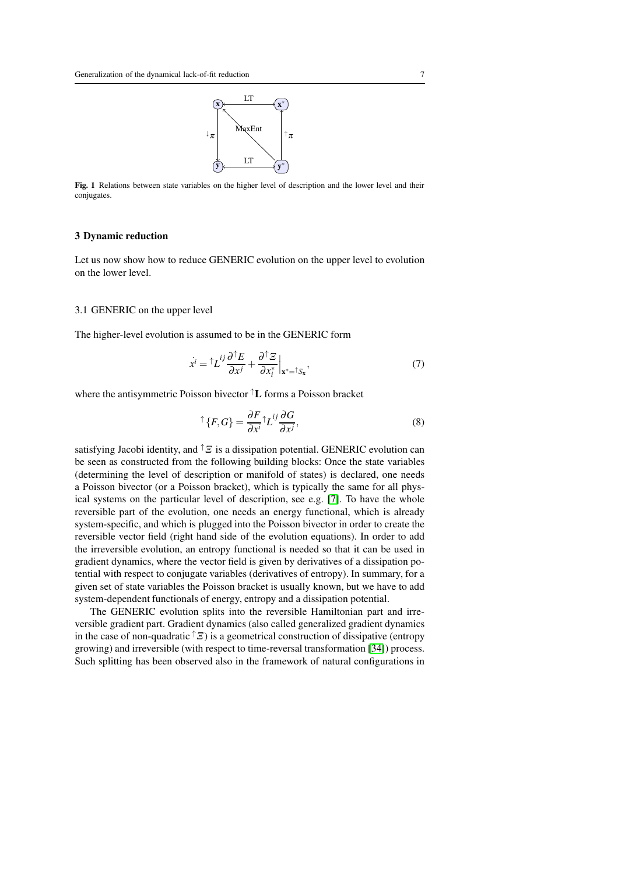

<span id="page-6-2"></span>Fig. 1 Relations between state variables on the higher level of description and the lower level and their conjugates.

#### <span id="page-6-0"></span>3 Dynamic reduction

Let us now show how to reduce GENERIC evolution on the upper level to evolution on the lower level.

## <span id="page-6-1"></span>3.1 GENERIC on the upper level

The higher-level evolution is assumed to be in the GENERIC form

<span id="page-6-3"></span>
$$
\dot{x}^i = \left. \int L^{ij} \frac{\partial^{\uparrow} E}{\partial x^j} + \frac{\partial^{\uparrow} \Xi}{\partial x_i^*} \right|_{\mathbf{x}^* = \left. \int \mathbf{x}^*} \tag{7}
$$

where the antisymmetric Poisson bivector ↑L forms a Poisson bracket

$$
\uparrow \{F, G\} = \frac{\partial F}{\partial x^i} \uparrow L^{ij} \frac{\partial G}{\partial x^j},\tag{8}
$$

satisfying Jacobi identity, and  $\uparrow \Xi$  is a dissipation potential. GENERIC evolution can be seen as constructed from the following building blocks: Once the state variables (determining the level of description or manifold of states) is declared, one needs a Poisson bivector (or a Poisson bracket), which is typically the same for all physical systems on the particular level of description, see e.g. [\[7\]](#page-23-5). To have the whole reversible part of the evolution, one needs an energy functional, which is already system-specific, and which is plugged into the Poisson bivector in order to create the reversible vector field (right hand side of the evolution equations). In order to add the irreversible evolution, an entropy functional is needed so that it can be used in gradient dynamics, where the vector field is given by derivatives of a dissipation potential with respect to conjugate variables (derivatives of entropy). In summary, for a given set of state variables the Poisson bracket is usually known, but we have to add system-dependent functionals of energy, entropy and a dissipation potential.

The GENERIC evolution splits into the reversible Hamiltonian part and irreversible gradient part. Gradient dynamics (also called generalized gradient dynamics in the case of non-quadratic  $\hat{\mathcal{F}}$ ) is a geometrical construction of dissipative (entropy growing) and irreversible (with respect to time-reversal transformation [\[34\]](#page-24-1)) process. Such splitting has been observed also in the framework of natural configurations in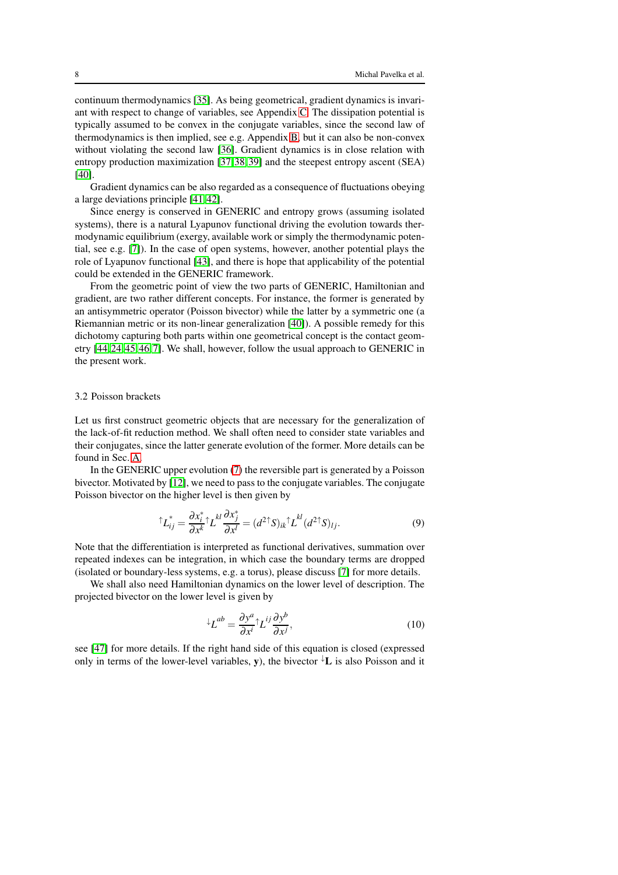continuum thermodynamics [\[35\]](#page-24-2). As being geometrical, gradient dynamics is invariant with respect to change of variables, see Appendix [C.](#page-30-0) The dissipation potential is typically assumed to be convex in the conjugate variables, since the second law of thermodynamics is then implied, see e.g. Appendix [B,](#page-28-0) but it can also be non-convex without violating the second law [\[36\]](#page-24-3). Gradient dynamics is in close relation with entropy production maximization [\[37,](#page-24-4)[38,](#page-24-5)[39\]](#page-24-6) and the steepest entropy ascent (SEA) [\[40\]](#page-24-7).

Gradient dynamics can be also regarded as a consequence of fluctuations obeying a large deviations principle [\[41,](#page-24-8)[42\]](#page-24-9).

Since energy is conserved in GENERIC and entropy grows (assuming isolated systems), there is a natural Lyapunov functional driving the evolution towards thermodynamic equilibrium (exergy, available work or simply the thermodynamic potential, see e.g. [\[7\]](#page-23-5)). In the case of open systems, however, another potential plays the role of Lyapunov functional [\[43\]](#page-24-10), and there is hope that applicability of the potential could be extended in the GENERIC framework.

From the geometric point of view the two parts of GENERIC, Hamiltonian and gradient, are two rather different concepts. For instance, the former is generated by an antisymmetric operator (Poisson bivector) while the latter by a symmetric one (a Riemannian metric or its non-linear generalization [\[40\]](#page-24-7)). A possible remedy for this dichotomy capturing both parts within one geometrical concept is the contact geometry [\[44,](#page-24-11)[24,](#page-23-22)[45,](#page-24-12)[46,](#page-24-13)[7\]](#page-23-5). We shall, however, follow the usual approach to GENERIC in the present work.

#### 3.2 Poisson brackets

Let us first construct geometric objects that are necessary for the generalization of the lack-of-fit reduction method. We shall often need to consider state variables and their conjugates, since the latter generate evolution of the former. More details can be found in Sec. [A.](#page-24-0)

In the GENERIC upper evolution [\(7\)](#page-6-3) the reversible part is generated by a Poisson bivector. Motivated by [\[12\]](#page-23-10), we need to pass to the conjugate variables. The conjugate Poisson bivector on the higher level is then given by

$$
\hat{L}_{ij}^* = \frac{\partial x_i^*}{\partial x^k} \hat{L}_i^{kl} \frac{\partial x_j^*}{\partial x^l} = (d^2 \hat{L}_i^*)_{ik} \hat{L}_i^{kl} (d^2 \hat{L}_i^*)_{lj}.
$$
\n(9)

Note that the differentiation is interpreted as functional derivatives, summation over repeated indexes can be integration, in which case the boundary terms are dropped (isolated or boundary-less systems, e.g. a torus), please discuss [\[7\]](#page-23-5) for more details.

We shall also need Hamiltonian dynamics on the lower level of description. The projected bivector on the lower level is given by

$$
^{\downarrow}L^{ab} = \frac{\partial y^a}{\partial x^i} \uparrow L^{ij} \frac{\partial y^b}{\partial x^j},\tag{10}
$$

see [\[47\]](#page-24-14) for more details. If the right hand side of this equation is closed (expressed only in terms of the lower-level variables, y), the bivector  $\downarrow$  L is also Poisson and it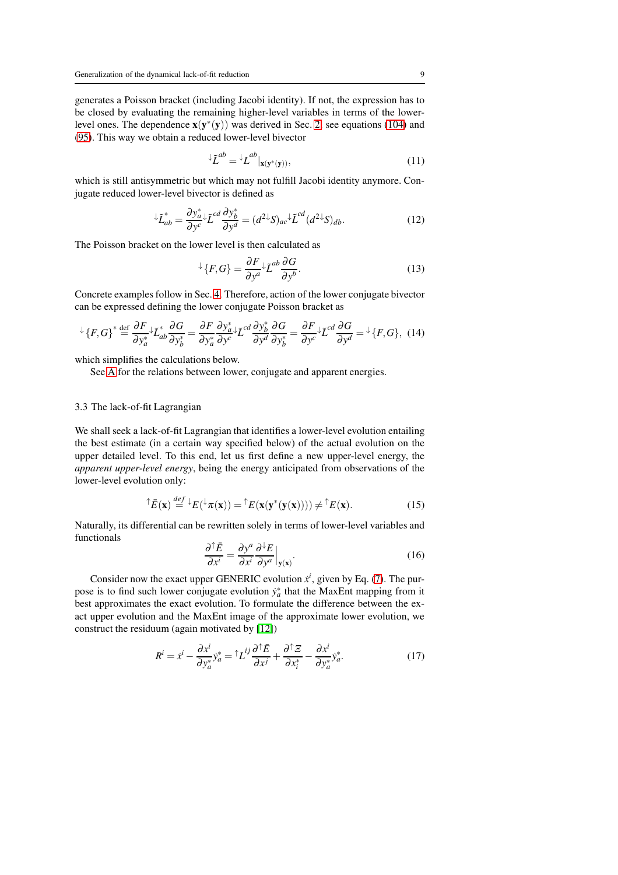generates a Poisson bracket (including Jacobi identity). If not, the expression has to be closed by evaluating the remaining higher-level variables in terms of the lowerlevel ones. The dependence  $\mathbf{x}(\mathbf{y}^*(\mathbf{y}))$  was derived in Sec. [2,](#page-5-0) see equations [\(104\)](#page-26-1) and [\(95\)](#page-25-0). This way we obtain a reduced lower-level bivector

$$
\mathcal{L}^{ab} = \mathcal{L}^{ab}|_{\mathbf{x}(\mathbf{y}^*(\mathbf{y}))},\tag{11}
$$

which is still antisymmetric but which may not fulfill Jacobi identity anymore. Conjugate reduced lower-level bivector is defined as

<span id="page-8-0"></span>
$$
{}^{\downarrow}\tilde{L}_{ab}^{*} = \frac{\partial y_a^*}{\partial y^c} {}^{\downarrow}\tilde{L}^{cd} \frac{\partial y_b^*}{\partial y^d} = (d^{2\downarrow}S)_{ac} {}^{\downarrow}\tilde{L}^{cd} (d^{2\downarrow}S)_{db}.
$$
 (12)

The Poisson bracket on the lower level is then calculated as

$$
\angle{F, G} = \frac{\partial F}{\partial y^a} \angle \tilde{L}^{ab} \frac{\partial G}{\partial y^b}.
$$
 (13)

Concrete examples follow in Sec. [4.](#page-14-0) Therefore, action of the lower conjugate bivector can be expressed defining the lower conjugate Poisson bracket as

$$
\angle \{F,G\}^* \stackrel{\text{def}}{=} \frac{\partial F}{\partial y_a^*} \angle \tilde{L}_{ab}^* \frac{\partial G}{\partial y_b^*} = \frac{\partial F}{\partial y_a^*} \frac{\partial y_a^*}{\partial y^c} \angle \tilde{L}^{cd} \frac{\partial y_b^*}{\partial y^d} \frac{\partial G}{\partial y_b^*} = \frac{\partial F}{\partial y^c} \angle \tilde{L}^{cd} \frac{\partial G}{\partial y^d} = \angle \{F,G\}, \tag{14}
$$

which simplifies the calculations below.

See [A](#page-24-0) for the relations between lower, conjugate and apparent energies.

## 3.3 The lack-of-fit Lagrangian

We shall seek a lack-of-fit Lagrangian that identifies a lower-level evolution entailing the best estimate (in a certain way specified below) of the actual evolution on the upper detailed level. To this end, let us first define a new upper-level energy, the *apparent upper-level energy*, being the energy anticipated from observations of the lower-level evolution only:

$$
\hat{\mathcal{E}}(\mathbf{x}) \stackrel{def}{=} \mathcal{E}(\mathcal{E}(\mathbf{x})) = \hat{\mathcal{E}}(\mathbf{x}(\mathbf{y}^*(\mathbf{y}(\mathbf{x})))) \neq \hat{\mathcal{E}}(\mathbf{x}). \tag{15}
$$

Naturally, its differential can be rewritten solely in terms of lower-level variables and functionals

$$
\frac{\partial^{\uparrow} \bar{E}}{\partial x^i} = \frac{\partial y^a}{\partial x^i} \frac{\partial^{\downarrow} E}{\partial y^a} \Big|_{\mathbf{y}(\mathbf{x})}.
$$
 (16)

Consider now the exact upper GENERIC evolution  $\dot{x}^i$ , given by Eq. [\(7\)](#page-6-3). The purpose is to find such lower conjugate evolution  $\dot{y}_a^*$  that the MaxEnt mapping from it best approximates the exact evolution. To formulate the difference between the exact upper evolution and the MaxEnt image of the approximate lower evolution, we construct the residuum (again motivated by [\[12\]](#page-23-10))

$$
R^{i} = \dot{x}^{i} - \frac{\partial x^{i}}{\partial y_{a}^{*}} y_{a}^{*} = \alpha L^{ij} \frac{\partial \alpha \bar{E}}{\partial x^{j}} + \frac{\partial \alpha \bar{E}}{\partial x_{i}^{*}} - \frac{\partial x^{i}}{\partial y_{a}^{*}} y_{a}^{*}.
$$
 (17)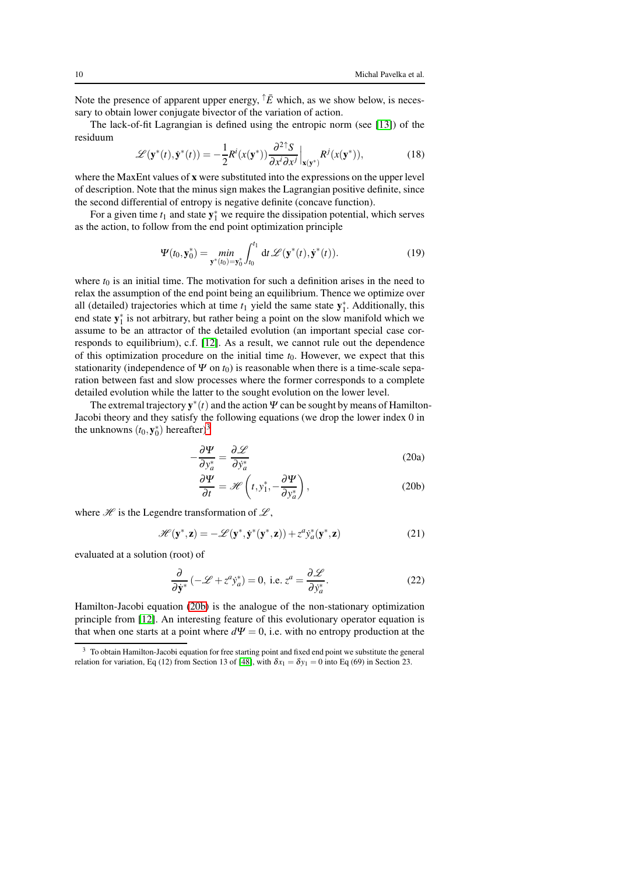Note the presence of apparent upper energy,  $\hat{\dagger} \bar{E}$  which, as we show below, is necessary to obtain lower conjugate bivector of the variation of action.

The lack-of-fit Lagrangian is defined using the entropic norm (see [\[13\]](#page-23-11)) of the residuum

<span id="page-9-2"></span>
$$
\mathcal{L}(\mathbf{y}^*(t), \dot{\mathbf{y}}^*(t)) = -\frac{1}{2} R^i(x(\mathbf{y}^*)) \frac{\partial^2 \uparrow S}{\partial x^i \partial x^j} \Big|_{\mathbf{x}(\mathbf{y}^*)} R^j(x(\mathbf{y}^*)),\tag{18}
$$

where the MaxEnt values of x were substituted into the expressions on the upper level of description. Note that the minus sign makes the Lagrangian positive definite, since the second differential of entropy is negative definite (concave function).

For a given time  $t_1$  and state  $y_1^*$  we require the dissipation potential, which serves as the action, to follow from the end point optimization principle

$$
\Psi(t_0, \mathbf{y}_0^*) = \min_{\mathbf{y}^*(t_0) = \mathbf{y}_0^*} \int_{t_0}^{t_1} dt \, \mathscr{L}(\mathbf{y}^*(t), \dot{\mathbf{y}}^*(t)). \tag{19}
$$

where  $t_0$  is an initial time. The motivation for such a definition arises in the need to relax the assumption of the end point being an equilibrium. Thence we optimize over all (detailed) trajectories which at time  $t_1$  yield the same state  $y_1^*$ . Additionally, this end state  $y_1^*$  is not arbitrary, but rather being a point on the slow manifold which we assume to be an attractor of the detailed evolution (an important special case corresponds to equilibrium), c.f. [\[12\]](#page-23-10). As a result, we cannot rule out the dependence of this optimization procedure on the initial time  $t<sub>0</sub>$ . However, we expect that this stationarity (independence of  $\Psi$  on  $t_0$ ) is reasonable when there is a time-scale separation between fast and slow processes where the former corresponds to a complete detailed evolution while the latter to the sought evolution on the lower level.

The extremal trajectory  $y^*(t)$  and the action  $\Psi$  can be sought by means of Hamilton-Jacobi theory and they satisfy the following equations (we drop the lower index 0 in the unknowns  $(t_0, \mathbf{y}_0^*)$  hereafter)<sup>[3](#page-9-0)</sup>

<span id="page-9-1"></span>
$$
-\frac{\partial \Psi}{\partial y_a^*} = \frac{\partial \mathcal{L}}{\partial \dot{y}_a^*}
$$
 (20a)

$$
\frac{\partial \Psi}{\partial t} = \mathcal{H}\left(t, y_1^*, -\frac{\partial \Psi}{\partial y_a^*}\right),\tag{20b}
$$

where  $\mathcal{H}$  is the Legendre transformation of  $\mathcal{L}$ ,

$$
\mathcal{H}(\mathbf{y}^*, \mathbf{z}) = -\mathcal{L}(\mathbf{y}^*, \mathbf{y}^*(\mathbf{y}^*, \mathbf{z})) + z^a \mathbf{y}_a^*(\mathbf{y}^*, \mathbf{z})
$$
(21)

evaluated at a solution (root) of

$$
\frac{\partial}{\partial \dot{y}^*} \left( -\mathcal{L} + z^a y_a^* \right) = 0, \text{ i.e. } z^a = \frac{\partial \mathcal{L}}{\partial \dot{y}_a^*}.
$$
 (22)

Hamilton-Jacobi equation [\(20b\)](#page-9-1) is the analogue of the non-stationary optimization principle from [\[12\]](#page-23-10). An interesting feature of this evolutionary operator equation is that when one starts at a point where  $d\Psi = 0$ , i.e. with no entropy production at the

<span id="page-9-0"></span><sup>&</sup>lt;sup>3</sup> To obtain Hamilton-Jacobi equation for free starting point and fixed end point we substitute the general relation for variation, Eq (12) from Section 13 of [\[48\]](#page-24-15), with  $\delta x_1 = \delta y_1 = 0$  into Eq (69) in Section 23.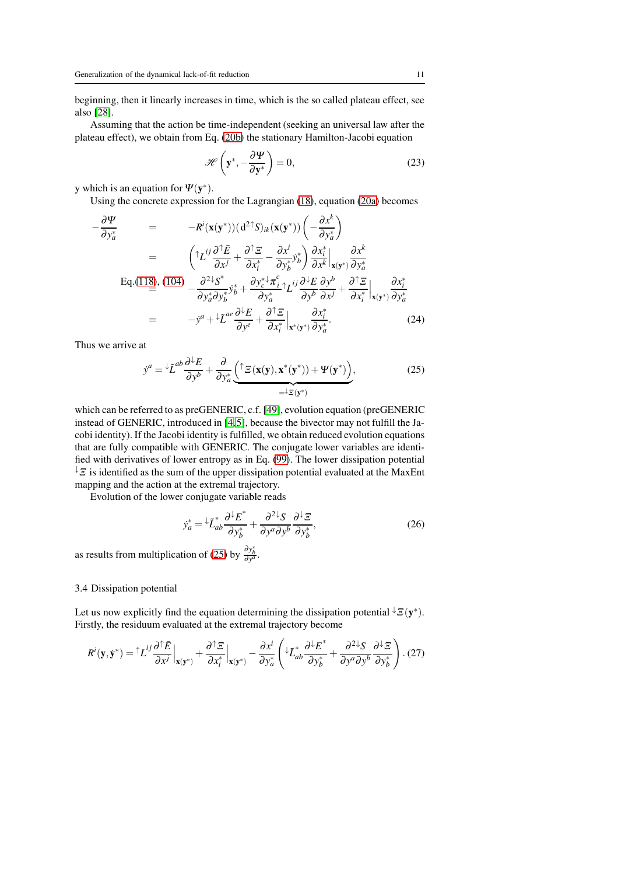beginning, then it linearly increases in time, which is the so called plateau effect, see also [\[28\]](#page-23-26).

Assuming that the action be time-independent (seeking an universal law after the plateau effect), we obtain from Eq. [\(20b\)](#page-9-1) the stationary Hamilton-Jacobi equation

$$
\mathscr{H}\left(\mathbf{y}^*, -\frac{\partial \Psi}{\partial \mathbf{y}^*}\right) = 0,\tag{23}
$$

y which is an equation for  $\Psi(\mathbf{y}^*)$ .

Using the concrete expression for the Lagrangian [\(18\)](#page-9-2), equation [\(20a\)](#page-9-1) becomes

$$
-\frac{\partial \Psi}{\partial y_{a}^{*}} = -R^{i}(\mathbf{x}(\mathbf{y}^{*}))(d^{2\dagger}S)_{ik}(\mathbf{x}(\mathbf{y}^{*}))\left(-\frac{\partial x^{k}}{\partial y_{a}^{*}}\right)
$$
  
\n
$$
= \left(\uparrow L^{ij}\frac{\partial \uparrow E}{\partial x^{j}} + \frac{\partial \uparrow \Xi}{\partial x^{*}_{i}} - \frac{\partial x^{i}}{\partial y_{b}^{*}}y_{b}^{*}\right)\frac{\partial x_{i}^{*}}{\partial x^{k}}\Big|_{\mathbf{x}(\mathbf{y}^{*})}\frac{\partial x^{k}}{\partial y_{a}^{*}}
$$
  
\nEq.(118), (104) 
$$
-\frac{\partial^{2\downarrow}S^{*}}{\partial y_{a}^{*}\partial y_{b}^{*}}y_{b}^{*} + \frac{\partial y_{c}^{* \downarrow} \pi_{i}^{c}}{\partial y_{a}^{*}}\uparrow L^{ij}\frac{\partial^{1}E}{\partial y^{b}}\frac{\partial y^{b}}{\partial x^{j}} + \frac{\partial \uparrow \Xi}{\partial x_{i}^{*}}\Big|_{\mathbf{x}(\mathbf{y}^{*})}\frac{\partial x_{i}^{*}}{\partial y_{a}^{*}}
$$
  
\n
$$
= -y^{a} + \downarrow \tilde{L}^{ae}\frac{\partial^{1}E}{\partial y^{e}} + \frac{\partial \uparrow \Xi}{\partial x_{i}^{*}}\Big|_{\mathbf{x}^{*}(\mathbf{y}^{*})}\frac{\partial x_{i}^{*}}{\partial y_{a}^{*}}.
$$
 (24)

Thus we arrive at

<span id="page-10-0"></span>
$$
\dot{y}^a = {}^{\downarrow} \tilde{L}^{ab} \frac{\partial {}^{\downarrow} E}{\partial y^b} + \frac{\partial}{\partial y_a^*} \underbrace{\left( {}^{\uparrow} \Xi(\mathbf{x}(\mathbf{y}), \mathbf{x}^*(\mathbf{y}^*)) + \Psi(\mathbf{y}^*) \right)}_{= {}^{\downarrow} \Xi(\mathbf{y}^*)},
$$
\n(25)

which can be referred to as preGENERIC, c.f. [\[49\]](#page-24-16), evolution equation (preGENERIC instead of GENERIC, introduced in [\[4,](#page-23-2)[5\]](#page-23-3), because the bivector may not fulfill the Jacobi identity). If the Jacobi identity is fulfilled, we obtain reduced evolution equations that are fully compatible with GENERIC. The conjugate lower variables are identified with derivatives of lower entropy as in Eq. [\(99\)](#page-25-1). The lower dissipation potential  $\sqrt{z}$  is identified as the sum of the upper dissipation potential evaluated at the MaxEnt mapping and the action at the extremal trajectory.

Evolution of the lower conjugate variable reads

$$
\dot{y}_a^* = \frac{\partial^2 E^*}{\partial y_b^*} + \frac{\partial^2 \mathcal{Y} \mathcal{S}}{\partial y^a \partial y^b} \frac{\partial \mathcal{Y} \mathcal{Z}}{\partial y_b^*},\tag{26}
$$

as results from multiplication of [\(25\)](#page-10-0) by  $\frac{\partial y_b^*}{\partial y^a}$ .

#### 3.4 Dissipation potential

Let us now explicitly find the equation determining the dissipation potential  $\downarrow \Xi(\mathbf{y}^*)$ . Firstly, the residuum evaluated at the extremal trajectory become

$$
R^{i}(\mathbf{y}, \dot{\mathbf{y}}^{*}) = \mathcal{L}^{ij} \frac{\partial \mathcal{L}\bar{E}}{\partial x^{j}}\Big|_{\mathbf{x}(\mathbf{y}^{*})} + \frac{\partial \mathcal{L}\bar{E}}{\partial x_{i}^{*}}\Big|_{\mathbf{x}(\mathbf{y}^{*})} - \frac{\partial x^{i}}{\partial y_{a}^{*}}\left(\mathcal{L}_{ab}^{*} \frac{\partial \mathcal{L}\bar{E}^{*}}{\partial y_{b}^{*}} + \frac{\partial^{2} \mathcal{L}S}{\partial y^{a} \partial y^{b}} \frac{\partial \mathcal{L}\bar{E}}{\partial y_{b}^{*}}\right). (27)
$$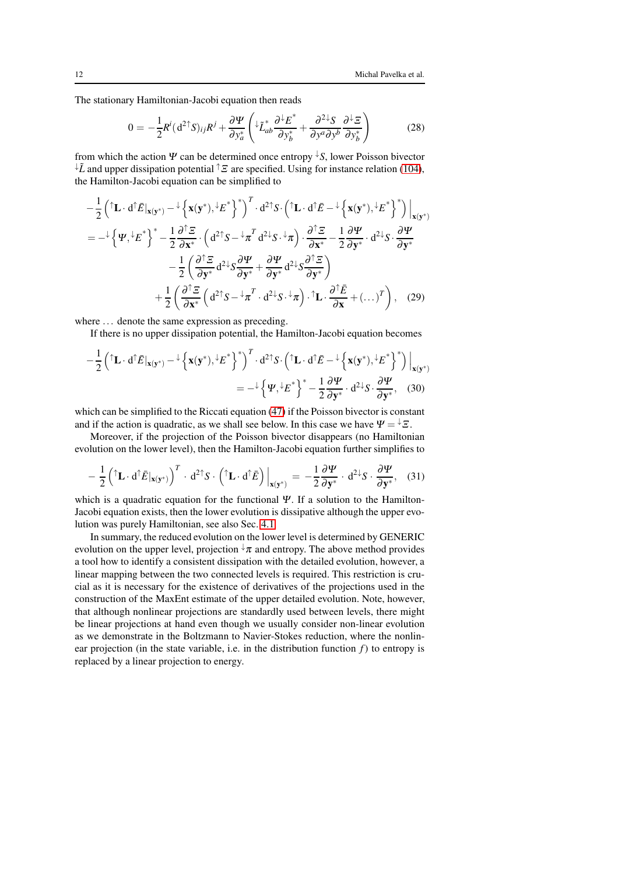The stationary Hamiltonian-Jacobi equation then reads

$$
0 = -\frac{1}{2}R^{i}(d^{2\uparrow}S)_{ij}R^{j} + \frac{\partial \Psi}{\partial y_{a}^{*}} \left( \iota^{*}L_{ab}^{*} \frac{\partial \iota^{*}E^{*}}{\partial y_{b}^{*}} + \frac{\partial^{2\downarrow}S}{\partial y^{a}\partial y^{b}} \frac{\partial \iota^{*}E}{\partial y_{b}^{*}} \right)
$$
(28)

from which the action  $\Psi$  can be determined once entropy  $\overline{S}$ , lower Poisson bivector  $\downarrow \tilde{L}$  and upper dissipation potential  $\uparrow \Xi$  are specified. Using for instance relation [\(104\)](#page-26-1), the Hamilton-Jacobi equation can be simplified to

$$
-\frac{1}{2} \left( \mathbf{\hat{L}} \cdot d\mathbf{\hat{E}} \big|_{\mathbf{x}(\mathbf{y}^*)} - \frac{1}{2} \left\{ \mathbf{x}(\mathbf{y}^*) , \frac{1}{2} E^* \right\}^T \right)^T \cdot d^{2\dagger} S \cdot \left( \mathbf{\hat{L}} \cdot d\mathbf{\hat{E}} - \frac{1}{2} \left\{ \mathbf{x}(\mathbf{y}^*) , \frac{1}{2} E^* \right\}^* \right) \big|_{\mathbf{x}(\mathbf{y}^*)} = -\frac{1}{2} \left\{ \Psi , \frac{1}{2} E^* \right\}^* - \frac{1}{2} \frac{\partial^{\uparrow} \Xi}{\partial \mathbf{x}^*} \cdot \left( d^{2\dagger} S - \frac{1}{2} \pi^T d^{2\dagger} S \cdot \frac{1}{2} \pi \right) \cdot \frac{\partial^{\uparrow} \Xi}{\partial \mathbf{x}^*} - \frac{1}{2} \frac{\partial \Psi}{\partial \mathbf{y}^*} \cdot d^{2\dagger} S \cdot \frac{\partial \Psi}{\partial \mathbf{y}^*} - \frac{1}{2} \left( \frac{\partial^{\uparrow} \Xi}{\partial \mathbf{y}^*} d^{2\dagger} S \frac{\partial \Psi}{\partial \mathbf{y}^*} + \frac{\partial \Psi}{\partial \mathbf{y}^*} d^{2\dagger} S \frac{\partial \mathbf{\hat{E}}}{\partial \mathbf{y}^*} \right) + \frac{1}{2} \left( \frac{\partial^{\uparrow} \Xi}{\partial \mathbf{x}^*} \left( d^{2\dagger} S - \frac{1}{2} \pi^T \cdot d^{2\dagger} S \cdot \frac{1}{2} \pi \right) \cdot \mathbf{\hat{L}} \cdot \frac{\partial^{\uparrow} \bar{E}}{\partial \mathbf{x}} + \left( \dots \right)^T \right), \quad (29)
$$

where ... denote the same expression as preceding.

<span id="page-11-0"></span>If there is no upper dissipation potential, the Hamilton-Jacobi equation becomes

$$
-\frac{1}{2} \left( \mathbf{\hat{L}} \cdot d^{\uparrow} \mathbf{\bar{E}}|_{\mathbf{x}(\mathbf{y}^*)} - \frac{1}{2} \left\{ \mathbf{x}(\mathbf{y}^*) , \mathbf{\hat{E}}^* \right\}^* \right)^T \cdot d^{2 \uparrow} S \cdot \left( \mathbf{\hat{L}} \cdot d^{\uparrow} \mathbf{\bar{E}} - \frac{1}{2} \left\{ \mathbf{x}(\mathbf{y}^*) , \mathbf{\hat{E}}^* \right\}^* \right) \Big|_{\mathbf{x}(\mathbf{y}^*)} = -\frac{1}{2} \left\{ \Psi, \mathbf{\hat{E}}^* \right\}^* - \frac{1}{2} \frac{\partial \Psi}{\partial \mathbf{y}^*} \cdot d^{2 \downarrow} S \cdot \frac{\partial \Psi}{\partial \mathbf{y}^*}, \quad (30)
$$

which can be simplified to the Riccati equation [\(47\)](#page-14-1) if the Poisson bivector is constant and if the action is quadratic, as we shall see below. In this case we have  $\Psi = \pm \Xi$ .

Moreover, if the projection of the Poisson bivector disappears (no Hamiltonian evolution on the lower level), then the Hamilton-Jacobi equation further simplifies to

<span id="page-11-1"></span>
$$
-\frac{1}{2} \left( \mathbf{\hat{L}} \cdot \mathbf{d} \mathbf{\hat{E}} |_{\mathbf{x}(\mathbf{y}^*)} \right)^T \cdot \mathbf{d}^{2 \uparrow} S \cdot \left( \mathbf{\hat{L}} \cdot \mathbf{d} \mathbf{\hat{E}} \right) \Big|_{\mathbf{x}(\mathbf{y}^*)} = -\frac{1}{2} \frac{\partial \Psi}{\partial \mathbf{y}^*} \cdot \mathbf{d}^{2 \downarrow} S \cdot \frac{\partial \Psi}{\partial \mathbf{y}^*}, \quad (31)
$$

which is a quadratic equation for the functional  $\Psi$ . If a solution to the Hamilton-Jacobi equation exists, then the lower evolution is dissipative although the upper evolution was purely Hamiltonian, see also Sec. [4.1.](#page-14-2)

In summary, the reduced evolution on the lower level is determined by GENERIC evolution on the upper level, projection  $\sqrt[n]{\pi}$  and entropy. The above method provides a tool how to identify a consistent dissipation with the detailed evolution, however, a linear mapping between the two connected levels is required. This restriction is crucial as it is necessary for the existence of derivatives of the projections used in the construction of the MaxEnt estimate of the upper detailed evolution. Note, however, that although nonlinear projections are standardly used between levels, there might be linear projections at hand even though we usually consider non-linear evolution as we demonstrate in the Boltzmann to Navier-Stokes reduction, where the nonlinear projection (in the state variable, i.e. in the distribution function  $f$ ) to entropy is replaced by a linear projection to energy.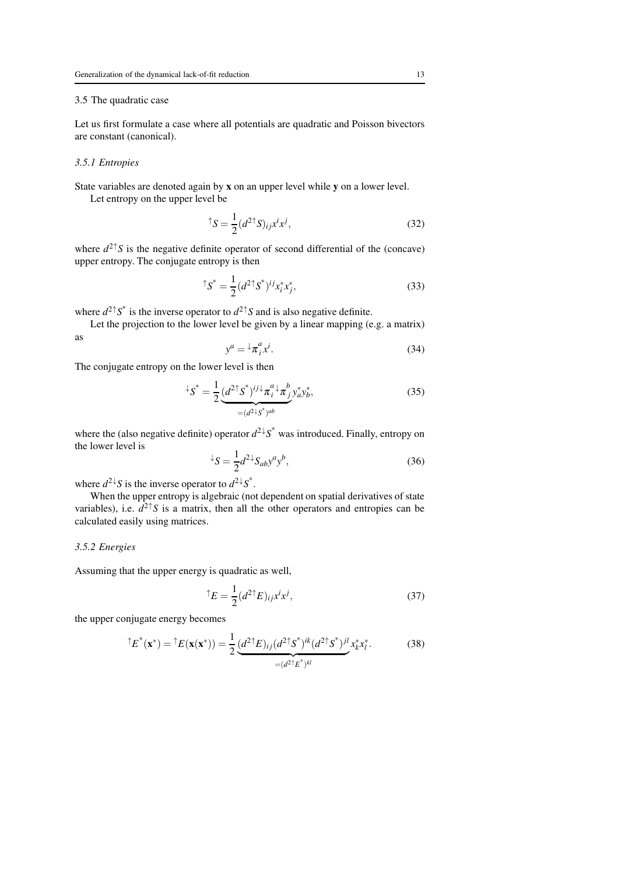#### 3.5 The quadratic case

Let us first formulate a case where all potentials are quadratic and Poisson bivectors are constant (canonical).

## *3.5.1 Entropies*

State variables are denoted again by x on an upper level while y on a lower level.

Let entropy on the upper level be

$$
\uparrow S = \frac{1}{2} (d^2 \uparrow S)_{ij} x^i x^j, \tag{32}
$$

where  $d^{2\uparrow}S$  is the negative definite operator of second differential of the (concave) upper entropy. The conjugate entropy is then

$$
^{\uparrow}S^* = \frac{1}{2} (d^{2\uparrow}S^*)^{ij} x_i^* x_j^*,\tag{33}
$$

where  $d^2 \uparrow S^*$  is the inverse operator to  $d^2 \uparrow S$  and is also negative definite.

Let the projection to the lower level be given by a linear mapping (e.g. a matrix) as

$$
y^a = {}^{\downarrow} \pi^a_i x^i. \tag{34}
$$

The conjugate entropy on the lower level is then

$$
\ {}^{\downarrow}S^* = \frac{1}{2} \underbrace{(d^2 \uparrow S^*)^{ij \downarrow} \pi_i^a \downarrow \pi_j^b}_{=(d^2 \downarrow S^*)^{ab}} y_a^* y_b^*,
$$
\n(35)

where the (also negative definite) operator  $d^2 \sqrt{S}^*$  was introduced. Finally, entropy on the lower level is

$$
\angle S = \frac{1}{2} d^2 \angle S_{ab} y^a y^b, \qquad (36)
$$

where  $d^{2\downarrow}S$  is the inverse operator to  $d^{2\downarrow}S^*$ .

When the upper entropy is algebraic (not dependent on spatial derivatives of state variables), i.e.  $d^{2\uparrow}S$  is a matrix, then all the other operators and entropies can be calculated easily using matrices.

## *3.5.2 Energies*

Assuming that the upper energy is quadratic as well,

$$
^{\uparrow}E = \frac{1}{2} (d^{2\uparrow}E)_{ij} x^i x^j, \tag{37}
$$

the upper conjugate energy becomes

$$
\hat{\mathbf{E}}^{*}(\mathbf{x}^{*}) = \hat{\mathbf{E}}(\mathbf{x}(\mathbf{x}^{*})) = \frac{1}{2} \underbrace{(d^{2\uparrow}E)_{ij}(d^{2\uparrow}S^{*})^{ik}(d^{2\uparrow}S^{*})^{jl}}_{=(d^{2\uparrow}E^{*})^{kl}} x_{k}^{*} x_{l}^{*}.
$$
 (38)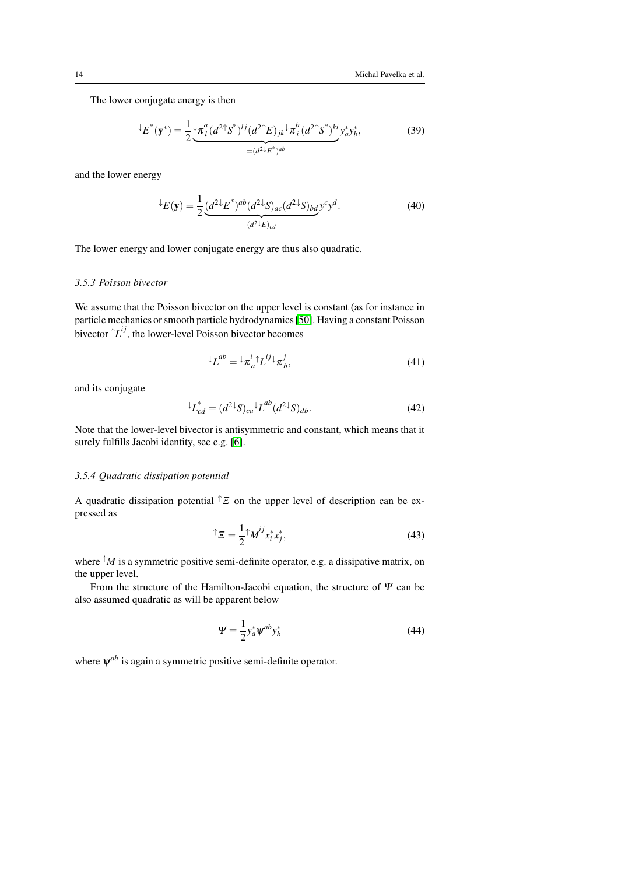The lower conjugate energy is then

$$
{}^{\downarrow}E^*(\mathbf{y}^*) = \frac{1}{2} \underbrace{\frac{1}{\mathcal{A}}_l^a (d^2 \uparrow S^*)^{lj} (d^2 \uparrow E)_{jk} \downarrow \pi_l^b (d^2 \uparrow S^*)^{ki}}_{=(d^2 \downarrow E^*)^{ab}} y_a^* y_b^*,
$$
\n(39)

and the lower energy

$$
\angle E(\mathbf{y}) = \frac{1}{2} \underbrace{(d^2 \angle E^*)^{ab} (d^2 \angle S)_{ac} (d^2 \angle S)_{bd}}_{(d^2 \angle E)_{cd}} y^c y^d.
$$
\n(40)

The lower energy and lower conjugate energy are thus also quadratic.

## *3.5.3 Poisson bivector*

We assume that the Poisson bivector on the upper level is constant (as for instance in particle mechanics or smooth particle hydrodynamics [\[50\]](#page-24-17). Having a constant Poisson bivector  ${}^{\uparrow}L^{ij}$ , the lower-level Poisson bivector becomes

$$
{}^{\downarrow}L^{ab} = {}^{\downarrow}\pi_a^i {}^{\uparrow}L^{ij} {}^{\downarrow}\pi_b^j,\tag{41}
$$

and its conjugate

$$
\ {}^{\downarrow}L_{cd}^* = (d^{2\downarrow}S)_{ca} {}^{\downarrow}L^{ab}(d^{2\downarrow}S)_{db}.
$$
 (42)

Note that the lower-level bivector is antisymmetric and constant, which means that it surely fulfills Jacobi identity, see e.g. [\[6\]](#page-23-4).

## *3.5.4 Quadratic dissipation potential*

A quadratic dissipation potential  $\hat{\ }$  on the upper level of description can be expressed as

$$
\uparrow \Sigma = \frac{1}{2} \uparrow M^{ij} x_i^* x_j^*, \tag{43}
$$

where  $\hat{A}$ *M* is a symmetric positive semi-definite operator, e.g. a dissipative matrix, on the upper level.

From the structure of the Hamilton-Jacobi equation, the structure of  $\Psi$  can be also assumed quadratic as will be apparent below

<span id="page-13-0"></span>
$$
\Psi = \frac{1}{2} y_a^* \psi^{ab} y_b^* \tag{44}
$$

where  $\psi^{ab}$  is again a symmetric positive semi-definite operator.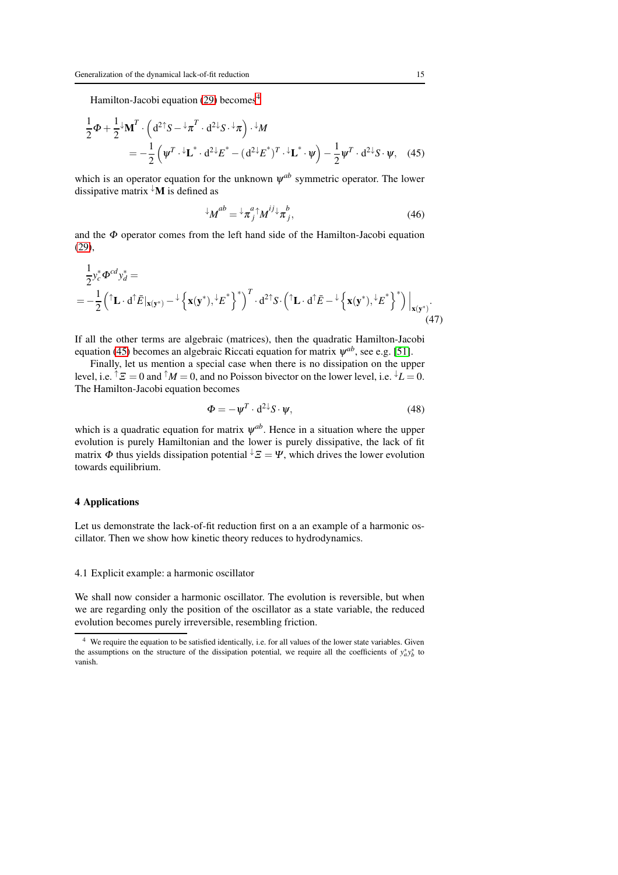Hamilton-Jacobi equation [\(29\)](#page-11-0) becomes<sup>[4](#page-14-3)</sup>

$$
\frac{1}{2}\Phi + \frac{1}{2}{}^{\downarrow}\mathbf{M}^T \cdot \left(\mathrm{d}^{2\dagger}S - {}^{\downarrow}\pi^T \cdot \mathrm{d}^{2\downarrow}S \cdot {}^{\downarrow}\pi\right) \cdot {}^{\downarrow}M
$$
\n
$$
= -\frac{1}{2}\left(\psi^T \cdot {}^{\downarrow}\mathbf{L}^* \cdot \mathrm{d}^{2\downarrow}E^* - (\mathrm{d}^{2\downarrow}E^*)^T \cdot {}^{\downarrow}\mathbf{L}^* \cdot \psi\right) - \frac{1}{2}\psi^T \cdot \mathrm{d}^{2\downarrow}S \cdot \psi, \quad (45)
$$

which is an operator equation for the unknown  $\psi^{ab}$  symmetric operator. The lower dissipative matrix  $\mathbf{M}$  is defined as

<span id="page-14-4"></span>
$$
^{\downarrow}M^{ab} = {}^{\downarrow}\pi^{a}_{j} {}^{\uparrow}M^{ij} {}^{\downarrow}\pi^{b}_{j}, \qquad (46)
$$

and the  $\Phi$  operator comes from the left hand side of the Hamilton-Jacobi equation [\(29\)](#page-11-0),

$$
\frac{1}{2}y_c^* \Phi^{cd} y_d^* =
$$
\n
$$
= -\frac{1}{2} \left( \int \mathbf{L} \cdot d\hat{\mathbf{E}} \, \Big| \mathbf{x}(\mathbf{y}^*) - \int \left\{ \mathbf{x}(\mathbf{y}^*) + \mathbf{E}^* \right\}^* \right)^T \cdot d^{2} \mathbf{S} \cdot \left( \int \mathbf{L} \cdot d\hat{\mathbf{E}} - \int \left\{ \mathbf{x}(\mathbf{y}^*) + \mathbf{E}^* \right\}^* \right) \Big|_{\mathbf{x}(\mathbf{y}^*)}.
$$
\n(47)

If all the other terms are algebraic (matrices), then the quadratic Hamilton-Jacobi equation [\(45\)](#page-14-4) becomes an algebraic Riccati equation for matrix  $\psi^{ab}$ , see e.g. [\[51\]](#page-24-18).

Finally, let us mention a special case when there is no dissipation on the upper level, i.e.  ${}^{\uparrow} \mathcal{E} = 0$  and  ${}^{\uparrow} M = 0$ , and no Poisson bivector on the lower level, i.e.  ${}^{\downarrow} L = 0$ . The Hamilton-Jacobi equation becomes

<span id="page-14-1"></span>
$$
\Phi = -\psi^T \cdot d^{2\downarrow} S \cdot \psi,\tag{48}
$$

which is a quadratic equation for matrix  $\psi^{ab}$ . Hence in a situation where the upper evolution is purely Hamiltonian and the lower is purely dissipative, the lack of fit matrix  $\Phi$  thus yields dissipation potential  $\sqrt{z} = \Psi$ , which drives the lower evolution towards equilibrium.

#### <span id="page-14-0"></span>4 Applications

Let us demonstrate the lack-of-fit reduction first on a an example of a harmonic oscillator. Then we show how kinetic theory reduces to hydrodynamics.

## <span id="page-14-2"></span>4.1 Explicit example: a harmonic oscillator

We shall now consider a harmonic oscillator. The evolution is reversible, but when we are regarding only the position of the oscillator as a state variable, the reduced evolution becomes purely irreversible, resembling friction.

<span id="page-14-3"></span>We require the equation to be satisfied identically, i.e. for all values of the lower state variables. Given the assumptions on the structure of the dissipation potential, we require all the coefficients of  $y_a^* y_b^*$  to vanish.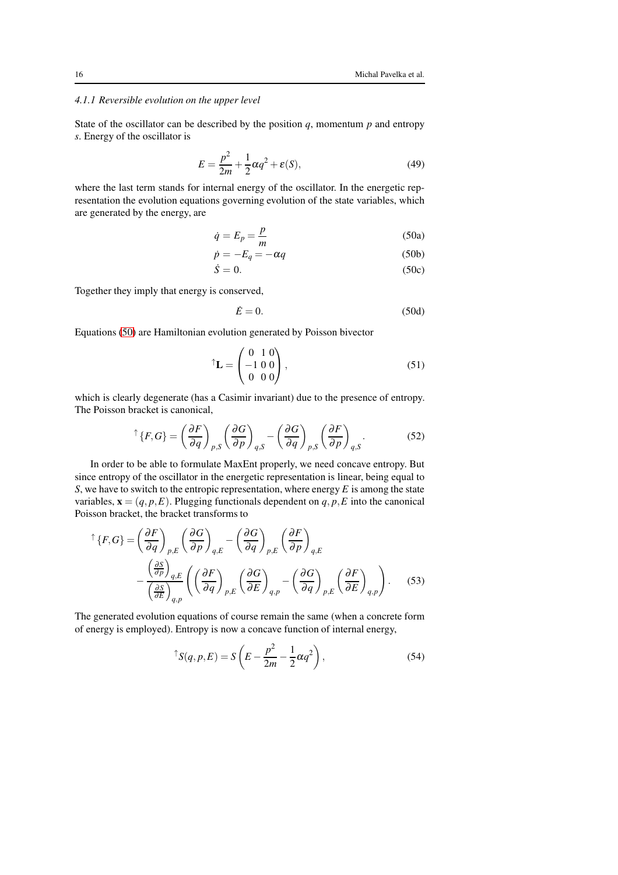## *4.1.1 Reversible evolution on the upper level*

State of the oscillator can be described by the position  $q$ , momentum  $p$  and entropy *s*. Energy of the oscillator is

$$
E = \frac{p^2}{2m} + \frac{1}{2}\alpha q^2 + \varepsilon(S),\tag{49}
$$

where the last term stands for internal energy of the oscillator. In the energetic representation the evolution equations governing evolution of the state variables, which are generated by the energy, are

<span id="page-15-0"></span>
$$
\dot{q} = E_p = \frac{p}{m} \tag{50a}
$$

$$
\dot{p} = -E_q = -\alpha q \tag{50b}
$$
\n
$$
\dot{S} = 0. \tag{50c}
$$

$$
f_{\rm{max}}(x)=\frac{1}{2}x
$$

Together they imply that energy is conserved,

$$
\dot{E} = 0. \tag{50d}
$$

Equations [\(50\)](#page-15-0) are Hamiltonian evolution generated by Poisson bivector

$$
\uparrow \mathbf{L} = \begin{pmatrix} 0 & 1 & 0 \\ -1 & 0 & 0 \\ 0 & 0 & 0 \end{pmatrix}, \tag{51}
$$

which is clearly degenerate (has a Casimir invariant) due to the presence of entropy. The Poisson bracket is canonical,

$$
\uparrow \{F, G\} = \left(\frac{\partial F}{\partial q}\right)_{p,S} \left(\frac{\partial G}{\partial p}\right)_{q,S} - \left(\frac{\partial G}{\partial q}\right)_{p,S} \left(\frac{\partial F}{\partial p}\right)_{q,S}.
$$
 (52)

In order to be able to formulate MaxEnt properly, we need concave entropy. But since entropy of the oscillator in the energetic representation is linear, being equal to *S*, we have to switch to the entropic representation, where energy *E* is among the state variables,  $\mathbf{x} = (q, p, E)$ . Plugging functionals dependent on  $q, p, E$  into the canonical Poisson bracket, the bracket transforms to

$$
\begin{split} \uparrow \{F, G\} &= \left(\frac{\partial F}{\partial q}\right)_{p,E} \left(\frac{\partial G}{\partial p}\right)_{q,E} - \left(\frac{\partial G}{\partial q}\right)_{p,E} \left(\frac{\partial F}{\partial p}\right)_{q,E} \\ &- \frac{\left(\frac{\partial S}{\partial p}\right)_{q,E}}{\left(\frac{\partial S}{\partial E}\right)_{q,p}} \left(\left(\frac{\partial F}{\partial q}\right)_{p,E} \left(\frac{\partial G}{\partial E}\right)_{q,p} - \left(\frac{\partial G}{\partial q}\right)_{p,E} \left(\frac{\partial F}{\partial E}\right)_{q,p}\right). \end{split} \tag{53}
$$

The generated evolution equations of course remain the same (when a concrete form of energy is employed). Entropy is now a concave function of internal energy,

<span id="page-15-1"></span>
$$
^{\uparrow}S(q, p, E) = S\left(E - \frac{p^2}{2m} - \frac{1}{2}\alpha q^2\right),\tag{54}
$$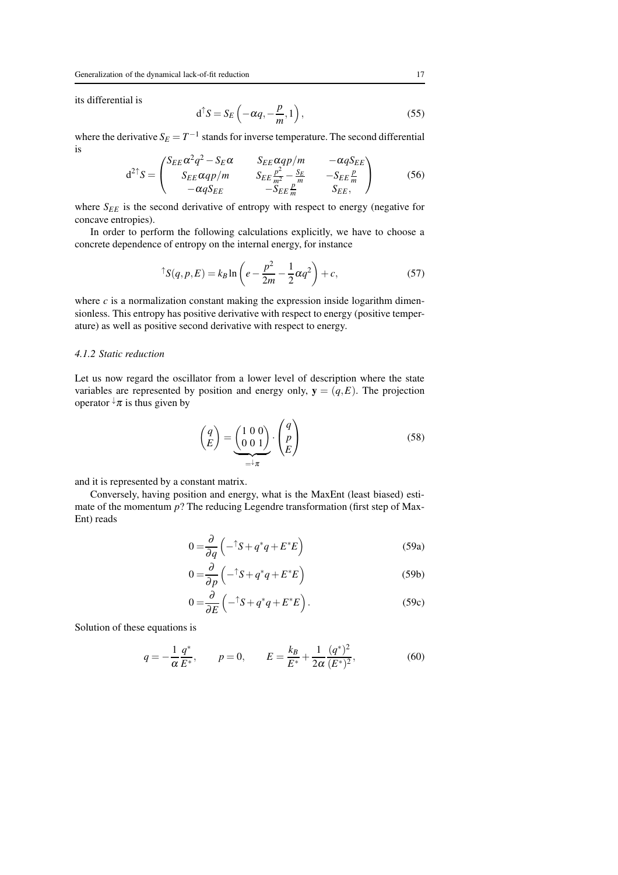its differential is

$$
d^{\uparrow} S = S_E \left( -\alpha q, -\frac{p}{m}, 1 \right), \tag{55}
$$

where the derivative  $S_E = T^{-1}$  stands for inverse temperature. The second differential is  $\overline{a}$ 

$$
d^{2\dagger}S = \begin{pmatrix} S_{EE}\alpha^2q^2 - S_E\alpha & S_{EE}\alpha qp/m & -\alpha qS_{EE} \\ S_{EE}\alpha qp/m & S_{EE}\frac{p^2}{m^2} - \frac{S_E}{m} & -S_{EE}\frac{p}{m} \\ -\alpha qS_{EE} & -S_{EE}\frac{p}{m} & S_{EE}, \end{pmatrix}
$$
(56)

where  $S_{EE}$  is the second derivative of entropy with respect to energy (negative for concave entropies).

In order to perform the following calculations explicitly, we have to choose a concrete dependence of entropy on the internal energy, for instance

$$
^{\uparrow}S(q, p, E) = k_B \ln \left( e - \frac{p^2}{2m} - \frac{1}{2}\alpha q^2 \right) + c,\tag{57}
$$

where  $c$  is a normalization constant making the expression inside logarithm dimensionless. This entropy has positive derivative with respect to energy (positive temperature) as well as positive second derivative with respect to energy.

#### *4.1.2 Static reduction*

Let us now regard the oscillator from a lower level of description where the state variables are represented by position and energy only,  $y = (q, E)$ . The projection operator  $\sqrt{x}$  is thus given by

$$
\begin{pmatrix} q \\ E \end{pmatrix} = \underbrace{\begin{pmatrix} 1 & 0 & 0 \\ 0 & 0 & 1 \end{pmatrix}}_{=+\pi} \cdot \begin{pmatrix} q \\ p \\ E \end{pmatrix}
$$
\n(58)

and it is represented by a constant matrix.

Conversely, having position and energy, what is the MaxEnt (least biased) estimate of the momentum *p*? The reducing Legendre transformation (first step of Max-Ent) reads

$$
0 = \frac{\partial}{\partial q} \left( -\hat{S} + q^* q + E^* E \right)
$$
 (59a)

$$
0 = \frac{\partial}{\partial p} \left( -\hat{S} + q^* q + E^* E \right)
$$
 (59b)

$$
0 = \frac{\partial}{\partial E} \left( -\hat{S} + q^* q + E^* E \right). \tag{59c}
$$

Solution of these equations is

$$
q = -\frac{1}{\alpha} \frac{q^*}{E^*}, \qquad p = 0, \qquad E = \frac{k_B}{E^*} + \frac{1}{2\alpha} \frac{(q^*)^2}{(E^*)^2}, \tag{60}
$$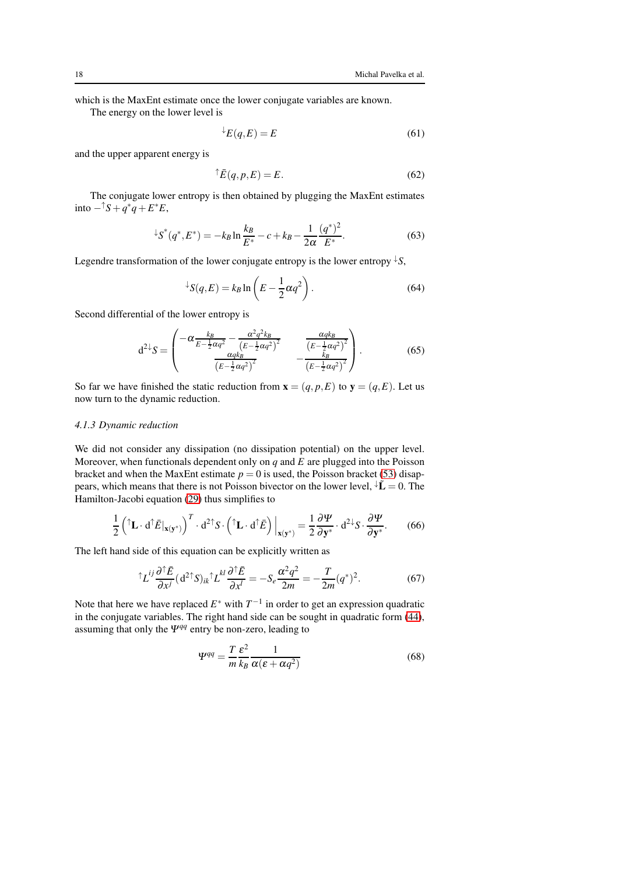which is the MaxEnt estimate once the lower conjugate variables are known.

The energy on the lower level is

$$
E(q, E) = E \tag{61}
$$

and the upper apparent energy is

$$
\hat{\overline{E}}(q, p, E) = E. \tag{62}
$$

The conjugate lower entropy is then obtained by plugging the MaxEnt estimates into  $-\binom{ }{S}$  +  $q$ <sup>\*</sup> $q$ </sup> +  $E$ <sup>\*</sup> $E$ ,

$$
\downarrow S^*(q^*, E^*) = -k_B \ln \frac{k_B}{E^*} - c + k_B - \frac{1}{2\alpha} \frac{(q^*)^2}{E^*}.
$$
 (63)

Legendre transformation of the lower conjugate entropy is the lower entropy  $\downarrow S$ ,

$$
\angle S(q, E) = k_B \ln \left( E - \frac{1}{2} \alpha q^2 \right). \tag{64}
$$

Second differential of the lower entropy is

$$
d^{2\downarrow}S = \begin{pmatrix} -\alpha \frac{k_B}{E - \frac{1}{2}\alpha q^2} - \frac{\alpha^2 q^2 k_B}{(E - \frac{1}{2}\alpha q^2)^2} & \frac{\alpha q k_B}{(E - \frac{1}{2}\alpha q^2)^2} \\ \frac{\alpha q k_B}{(E - \frac{1}{2}\alpha q^2)^2} & -\frac{k_B}{(E - \frac{1}{2}\alpha q^2)^2} \end{pmatrix}.
$$
(65)

So far we have finished the static reduction from  $\mathbf{x} = (q, p, E)$  to  $\mathbf{y} = (q, E)$ . Let us now turn to the dynamic reduction.

## *4.1.3 Dynamic reduction*

We did not consider any dissipation (no dissipation potential) on the upper level. Moreover, when functionals dependent only on *q* and *E* are plugged into the Poisson bracket and when the MaxEnt estimate  $p = 0$  is used, the Poisson bracket [\(53\)](#page-15-1) disappears, which means that there is not Poisson bivector on the lower level,  $\mathbf{\downarrow}\tilde{\mathbf{L}} = 0$ . The Hamilton-Jacobi equation [\(29\)](#page-11-0) thus simplifies to

$$
\frac{1}{2} \left( \mathbf{\hat{L}} \cdot \mathbf{d} \mathbf{\hat{E}} |_{\mathbf{x}(\mathbf{y}^*)} \right)^T \cdot \mathbf{d}^{2\uparrow} S \cdot \left( \mathbf{\hat{L}} \cdot \mathbf{d} \mathbf{\hat{E}} \right) \Big|_{\mathbf{x}(\mathbf{y}^*)} = \frac{1}{2} \frac{\partial \Psi}{\partial \mathbf{y}^*} \cdot \mathbf{d}^{2\downarrow} S \cdot \frac{\partial \Psi}{\partial \mathbf{y}^*}. \tag{66}
$$

The left hand side of this equation can be explicitly written as

$$
\int L^{ij} \frac{\partial \bar{\partial} \bar{E}}{\partial x^j} (d^2 \bar{\partial} \bar{S})_{ik} \bar{\partial} L^{kl} \frac{\partial \bar{\partial} \bar{E}}{\partial x^l} = -S_e \frac{\alpha^2 q^2}{2m} = -\frac{T}{2m} (q^*)^2. \tag{67}
$$

Note that here we have replaced  $E^*$  with  $T^{-1}$  in order to get an expression quadratic in the conjugate variables. The right hand side can be sought in quadratic form [\(44\)](#page-13-0), assuming that only the  $\Psi^{qq}$  entry be non-zero, leading to

$$
\Psi^{qq} = \frac{T}{m} \frac{\varepsilon^2}{k_B} \frac{1}{\alpha(\varepsilon + \alpha q^2)}\tag{68}
$$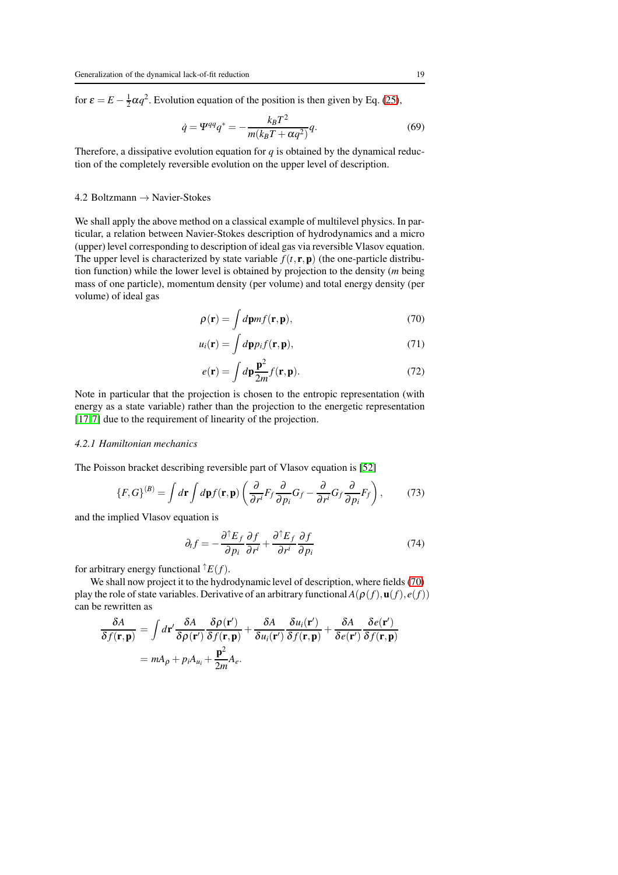for  $\varepsilon = E - \frac{1}{2} \alpha q^2$ . Evolution equation of the position is then given by Eq. [\(25\)](#page-10-0),

$$
\dot{q} = \Psi^{qq} q^* = -\frac{k_B T^2}{m(k_B T + \alpha q^2)} q.
$$
\n(69)

Therefore, a dissipative evolution equation for  $q$  is obtained by the dynamical reduction of the completely reversible evolution on the upper level of description.

#### 4.2 Boltzmann → Navier-Stokes

We shall apply the above method on a classical example of multilevel physics. In particular, a relation between Navier-Stokes description of hydrodynamics and a micro (upper) level corresponding to description of ideal gas via reversible Vlasov equation. The upper level is characterized by state variable  $f(t, \mathbf{r}, \mathbf{p})$  (the one-particle distribution function) while the lower level is obtained by projection to the density (*m* being mass of one particle), momentum density (per volume) and total energy density (per volume) of ideal gas

<span id="page-18-0"></span>
$$
\rho(\mathbf{r}) = \int d\mathbf{p} m f(\mathbf{r}, \mathbf{p}),\tag{70}
$$

$$
u_i(\mathbf{r}) = \int d\mathbf{p} p_i f(\mathbf{r}, \mathbf{p}), \qquad (71)
$$

$$
e(\mathbf{r}) = \int d\mathbf{p} \frac{\mathbf{p}^2}{2m} f(\mathbf{r}, \mathbf{p}).
$$
 (72)

Note in particular that the projection is chosen to the entropic representation (with energy as a state variable) rather than the projection to the energetic representation [\[17,](#page-23-15)[7\]](#page-23-5) due to the requirement of linearity of the projection.

#### *4.2.1 Hamiltonian mechanics*

The Poisson bracket describing reversible part of Vlasov equation is [\[52\]](#page-24-19)

<span id="page-18-1"></span>
$$
\{F, G\}^{(B)} = \int d\mathbf{r} \int d\mathbf{p} f(\mathbf{r}, \mathbf{p}) \left( \frac{\partial}{\partial r^i} F_f \frac{\partial}{\partial p_i} G_f - \frac{\partial}{\partial r^i} G_f \frac{\partial}{\partial p_i} F_f \right),\tag{73}
$$

and the implied Vlasov equation is

$$
\partial_t f = -\frac{\partial^{\dagger} E_f}{\partial p_i} \frac{\partial f}{\partial r^i} + \frac{\partial^{\dagger} E_f}{\partial r^i} \frac{\partial f}{\partial p_i}
$$
(74)

for arbitrary energy functional  $\hat{}$   $E(f)$ .

We shall now project it to the hydrodynamic level of description, where fields [\(70\)](#page-18-0) play the role of state variables. Derivative of an arbitrary functional  $A(\rho(f), u(f), e(f))$ can be rewritten as

$$
\frac{\delta A}{\delta f(\mathbf{r}, \mathbf{p})} = \int d\mathbf{r}' \frac{\delta A}{\delta \rho(\mathbf{r}')} \frac{\delta \rho(\mathbf{r}')}{\delta f(\mathbf{r}, \mathbf{p})} + \frac{\delta A}{\delta u_i(\mathbf{r}')} \frac{\delta u_i(\mathbf{r}')}{\delta f(\mathbf{r}, \mathbf{p})} + \frac{\delta A}{\delta e(\mathbf{r}')} \frac{\delta e(\mathbf{r}')}{\delta f(\mathbf{r}, \mathbf{p})}
$$

$$
= m A_\rho + p_i A_{u_i} + \frac{\mathbf{p}^2}{2m} A_e.
$$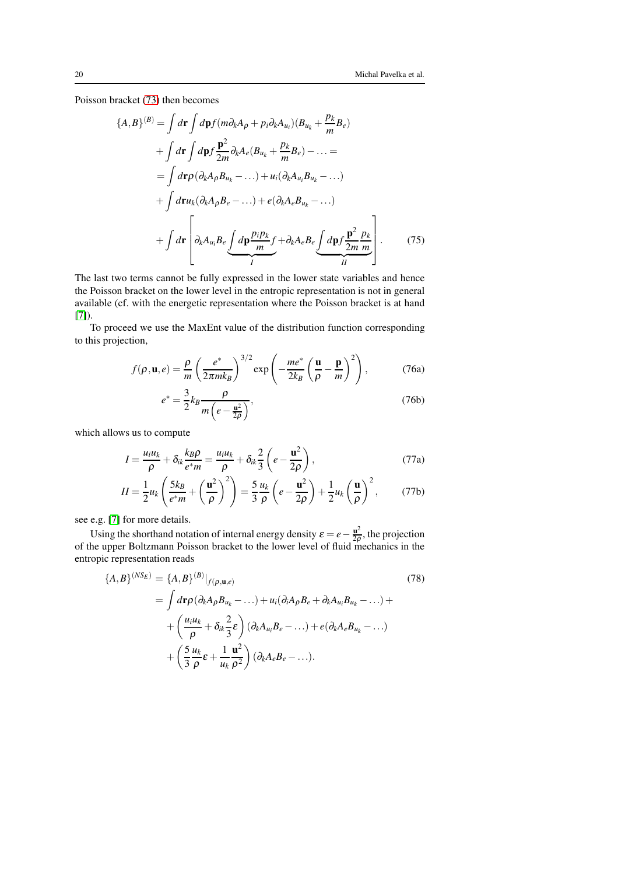Poisson bracket [\(73\)](#page-18-1) then becomes

$$
\{A,B\}^{(B)} = \int d\mathbf{r} \int d\mathbf{p} f(m\partial_k A_\rho + p_i \partial_k A_{u_i})(B_{u_k} + \frac{p_k}{m} B_e)
$$
  
+ 
$$
\int d\mathbf{r} \int d\mathbf{p} f \frac{\mathbf{p}^2}{2m} \partial_k A_e (B_{u_k} + \frac{p_k}{m} B_e) - \dots =
$$
  
= 
$$
\int d\mathbf{r} \rho (\partial_k A_\rho B_{u_k} - \dots) + u_i (\partial_k A_{u_i} B_{u_k} - \dots)
$$
  
+ 
$$
\int d\mathbf{r} u_k (\partial_k A_\rho B_e - \dots) + e (\partial_k A_e B_{u_k} - \dots)
$$
  
+ 
$$
\int d\mathbf{r} \left[ \partial_k A_{u_i} B_e \underbrace{\int d\mathbf{p} \frac{p_i p_k}{m} f + \partial_k A_e B_e}_{II} \underbrace{\int d\mathbf{p} f \frac{\mathbf{p}^2}{2m} \frac{p_k}{m}}_{II} \right].
$$
 (75)

The last two terms cannot be fully expressed in the lower state variables and hence the Poisson bracket on the lower level in the entropic representation is not in general available (cf. with the energetic representation where the Poisson bracket is at hand [\[7\]](#page-23-5)).

To proceed we use the MaxEnt value of the distribution function corresponding to this projection,

$$
f(\rho, \mathbf{u}, e) = \frac{\rho}{m} \left( \frac{e^*}{2\pi m k_B} \right)^{3/2} \exp\left( -\frac{me^*}{2k_B} \left( \frac{\mathbf{u}}{\rho} - \frac{\mathbf{p}}{m} \right)^2 \right), \tag{76a}
$$

$$
e^* = \frac{3}{2} k_B \frac{\rho}{m \left(e - \frac{\mathbf{u}^2}{2\rho}\right)},\tag{76b}
$$

which allows us to compute

$$
I = \frac{u_i u_k}{\rho} + \delta_{ik} \frac{k_B \rho}{e^* m} = \frac{u_i u_k}{\rho} + \delta_{ik} \frac{2}{3} \left( e - \frac{\mathbf{u}^2}{2\rho} \right),
$$
 (77a)

$$
II = \frac{1}{2}u_k \left(\frac{5k_B}{e^*m} + \left(\frac{\mathbf{u}^2}{\rho}\right)^2\right) = \frac{5}{3} \frac{u_k}{\rho} \left(e - \frac{\mathbf{u}^2}{2\rho}\right) + \frac{1}{2}u_k \left(\frac{\mathbf{u}}{\rho}\right)^2, \tag{77b}
$$

see e.g. [\[7\]](#page-23-5) for more details.

Using the shorthand notation of internal energy density  $\varepsilon = e - \frac{\mathbf{u}^2}{2\rho}$  $\frac{\mathbf{u}^2}{2\rho}$ , the projection of the upper Boltzmann Poisson bracket to the lower level of fluid mechanics in the entropic representation reads

<span id="page-19-0"></span>
$$
\{A,B\}^{(NSE)} = \{A,B\}^{(B)}|_{f(\rho,\mathbf{u},e)} \tag{78}
$$
\n
$$
= \int d\mathbf{r} \rho (\partial_k A_\rho B_{u_k} - \ldots) + u_i (\partial_i A_\rho B_e + \partial_k A_{u_i} B_{u_k} - \ldots) + \left(\frac{u_i u_k}{\rho} + \delta_{ik} \frac{2}{3} \varepsilon\right) (\partial_k A_{u_i} B_e - \ldots) + e(\partial_k A_e B_{u_k} - \ldots) + \left(\frac{5}{3} \frac{u_k}{\rho} \varepsilon + \frac{1}{u_k} \frac{\mathbf{u}^2}{\rho^2}\right) (\partial_k A_e B_e - \ldots).
$$
\n
$$
(78)
$$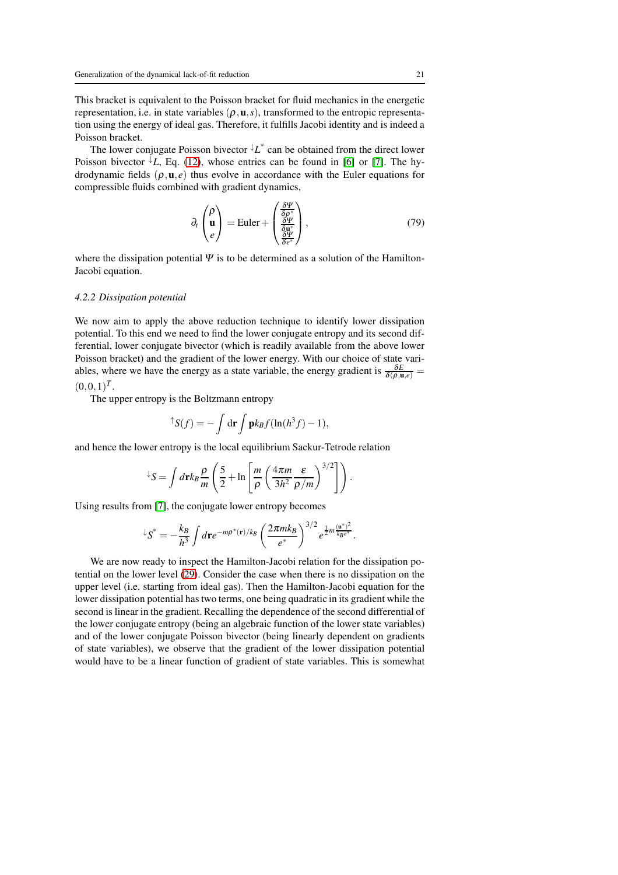This bracket is equivalent to the Poisson bracket for fluid mechanics in the energetic representation, i.e. in state variables ( $ρ$ , **u**, *s*), transformed to the entropic representation using the energy of ideal gas. Therefore, it fulfills Jacobi identity and is indeed a Poisson bracket.

The lower conjugate Poisson bivector ↓*L* ∗ can be obtained from the direct lower Poisson bivector  $\overline{L}$ , Eq. [\(12\)](#page-8-0), whose entries can be found in [\[6\]](#page-23-4) or [\[7\]](#page-23-5). The hydrodynamic fields  $(\rho, \mathbf{u}, e)$  thus evolve in accordance with the Euler equations for compressible fluids combined with gradient dynamics,

$$
\partial_t \begin{pmatrix} \rho \\ \mathbf{u} \\ e \end{pmatrix} = \text{Euler} + \begin{pmatrix} \frac{\delta \Psi}{\delta \rho^*} \\ \frac{\delta \Psi}{\delta \mathbf{u}^*} \\ \frac{\delta \Psi}{\delta e^*} \end{pmatrix},\tag{79}
$$

where the dissipation potential  $\Psi$  is to be determined as a solution of the Hamilton-Jacobi equation.

#### *4.2.2 Dissipation potential*

We now aim to apply the above reduction technique to identify lower dissipation potential. To this end we need to find the lower conjugate entropy and its second differential, lower conjugate bivector (which is readily available from the above lower Poisson bracket) and the gradient of the lower energy. With our choice of state variables, where we have the energy as a state variable, the energy gradient is  $\frac{\delta E}{\delta(\rho,\mathbf{u},e)}$  =  $(0,0,1)^T$ .

The upper entropy is the Boltzmann entropy

$$
\uparrow S(f) = -\int d\mathbf{r} \int \mathbf{p} k_B f(\ln(h^3 f) - 1),
$$

and hence the lower entropy is the local equilibrium Sackur-Tetrode relation

$$
\angle S = \int d\mathbf{r} k_B \frac{\rho}{m} \left( \frac{5}{2} + \ln \left[ \frac{m}{\rho} \left( \frac{4\pi m}{3h^2} \frac{\varepsilon}{\rho/m} \right)^{3/2} \right] \right).
$$

Using results from [\[7\]](#page-23-5), the conjugate lower entropy becomes

$$
^{\downarrow}S^* = -\frac{k_B}{h^3} \int d{\bf r} e^{-m \rho^*({\bf r})/k_B} \left(\frac{2\pi m k_B}{e^*}\right)^{3/2} e^{\frac{1}{2}m \frac{({\bf u}^*)^2}{k_B e^*}}.
$$

We are now ready to inspect the Hamilton-Jacobi relation for the dissipation potential on the lower level [\(29\)](#page-11-0). Consider the case when there is no dissipation on the upper level (i.e. starting from ideal gas). Then the Hamilton-Jacobi equation for the lower dissipation potential has two terms, one being quadratic in its gradient while the second is linear in the gradient. Recalling the dependence of the second differential of the lower conjugate entropy (being an algebraic function of the lower state variables) and of the lower conjugate Poisson bivector (being linearly dependent on gradients of state variables), we observe that the gradient of the lower dissipation potential would have to be a linear function of gradient of state variables. This is somewhat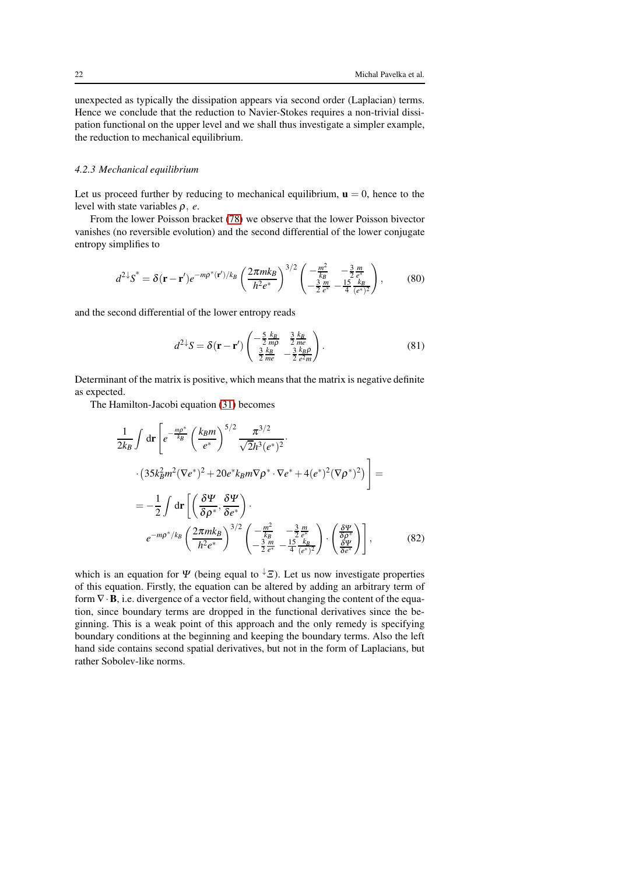unexpected as typically the dissipation appears via second order (Laplacian) terms. Hence we conclude that the reduction to Navier-Stokes requires a non-trivial dissipation functional on the upper level and we shall thus investigate a simpler example, the reduction to mechanical equilibrium.

### *4.2.3 Mechanical equilibrium*

Let us proceed further by reducing to mechanical equilibrium,  $\mathbf{u} = 0$ , hence to the level with state variables ρ, *e*.

From the lower Poisson bracket [\(78\)](#page-19-0) we observe that the lower Poisson bivector vanishes (no reversible evolution) and the second differential of the lower conjugate entropy simplifies to

$$
d^{2\downarrow}S^* = \delta(\mathbf{r} - \mathbf{r}')e^{-m\rho^*(\mathbf{r}')/k_B} \left(\frac{2\pi mk_B}{h^2 e^*}\right)^{3/2} \left(\frac{-\frac{m^2}{k_B}}{-\frac{3}{2}\frac{m}{e^*} - \frac{15}{4}\frac{k_B}{(e^*)^2}}\right),\tag{80}
$$

and the second differential of the lower entropy reads

$$
d^{2\downarrow}S = \delta(\mathbf{r} - \mathbf{r}') \begin{pmatrix} -\frac{5}{2} \frac{k_B}{mp} & \frac{3}{2} \frac{k_B}{me} \\ \frac{3}{2} \frac{k_B}{me} & -\frac{3}{2} \frac{k_B \rho}{e^2 m} \end{pmatrix}.
$$
 (81)

Determinant of the matrix is positive, which means that the matrix is negative definite as expected.

The Hamilton-Jacobi equation [\(31\)](#page-11-1) becomes

$$
\frac{1}{2k_B} \int d\mathbf{r} \left[ e^{-\frac{mp^*}{k_B}} \left( \frac{k_B m}{e^*} \right)^{5/2} \frac{\pi^{3/2}}{\sqrt{2}h^3(e^*)^2} \cdot \right]
$$
\n
$$
\cdot \left( 35k_B^2 m^2 (\nabla e^*)^2 + 20e^* k_B m \nabla \rho^* \cdot \nabla e^* + 4(e^*)^2 (\nabla \rho^*)^2 \right) \bigg] =
$$
\n
$$
= -\frac{1}{2} \int d\mathbf{r} \left[ \left( \frac{\delta \Psi}{\delta \rho^*}, \frac{\delta \Psi}{\delta e^*} \right) \cdot \right]
$$
\n
$$
e^{-m\rho^* / k_B} \left( \frac{2\pi m k_B}{h^2 e^*} \right)^{3/2} \left( -\frac{m^2}{k_B} - \frac{3}{2} \frac{m}{e^*} \right) \cdot \left( \frac{\delta \Psi}{\delta \rho^*} \right) \bigg],
$$
\n(82)

which is an equation for  $\Psi$  (being equal to  $\overline{\Psi}(E)$ ). Let us now investigate properties of this equation. Firstly, the equation can be altered by adding an arbitrary term of form  $\nabla \cdot \mathbf{B}$ , i.e. divergence of a vector field, without changing the content of the equation, since boundary terms are dropped in the functional derivatives since the beginning. This is a weak point of this approach and the only remedy is specifying boundary conditions at the beginning and keeping the boundary terms. Also the left hand side contains second spatial derivatives, but not in the form of Laplacians, but rather Sobolev-like norms.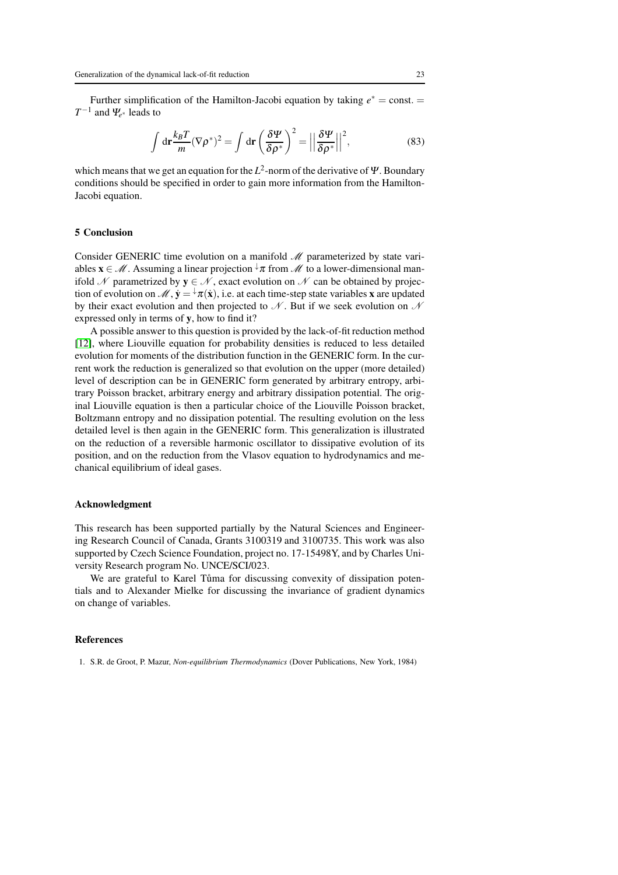Further simplification of the Hamilton-Jacobi equation by taking  $e^* = \text{const.} =$ *T* −1 and <sup>Ψ</sup>*<sup>e</sup>* <sup>∗</sup> leads to

$$
\int d\mathbf{r} \frac{k_B T}{m} (\nabla \rho^*)^2 = \int d\mathbf{r} \left(\frac{\delta \Psi}{\delta \rho^*}\right)^2 = \left|\left|\frac{\delta \Psi}{\delta \rho^*}\right|\right|^2,\tag{83}
$$

which means that we get an equation for the  $L^2$ -norm of the derivative of  $\Psi$ . Boundary conditions should be specified in order to gain more information from the Hamilton-Jacobi equation.

#### <span id="page-22-0"></span>5 Conclusion

Consider GENERIC time evolution on a manifold  $\mathcal M$  parameterized by state variables  $\mathbf{x} \in \mathcal{M}$ . Assuming a linear projection  $\forall \pi$  from  $\mathcal{M}$  to a lower-dimensional manifold N parametrized by  $y \in N$ , exact evolution on N can be obtained by projection of evolution on  $\mathcal{M}, \dot{y} = \dot{x}(\dot{x})$ , i.e. at each time-step state variables x are updated by their exact evolution and then projected to  $\mathcal N$ . But if we seek evolution on  $\mathcal N$ expressed only in terms of y, how to find it?

A possible answer to this question is provided by the lack-of-fit reduction method [\[12\]](#page-23-10), where Liouville equation for probability densities is reduced to less detailed evolution for moments of the distribution function in the GENERIC form. In the current work the reduction is generalized so that evolution on the upper (more detailed) level of description can be in GENERIC form generated by arbitrary entropy, arbitrary Poisson bracket, arbitrary energy and arbitrary dissipation potential. The original Liouville equation is then a particular choice of the Liouville Poisson bracket, Boltzmann entropy and no dissipation potential. The resulting evolution on the less detailed level is then again in the GENERIC form. This generalization is illustrated on the reduction of a reversible harmonic oscillator to dissipative evolution of its position, and on the reduction from the Vlasov equation to hydrodynamics and mechanical equilibrium of ideal gases.

#### Acknowledgment

This research has been supported partially by the Natural Sciences and Engineering Research Council of Canada, Grants 3100319 and 3100735. This work was also supported by Czech Science Foundation, project no. 17-15498Y, and by Charles University Research program No. UNCE/SCI/023.

We are grateful to Karel Tůma for discussing convexity of dissipation potentials and to Alexander Mielke for discussing the invariance of gradient dynamics on change of variables.

#### References

<span id="page-22-1"></span>1. S.R. de Groot, P. Mazur, *Non-equilibrium Thermodynamics* (Dover Publications, New York, 1984)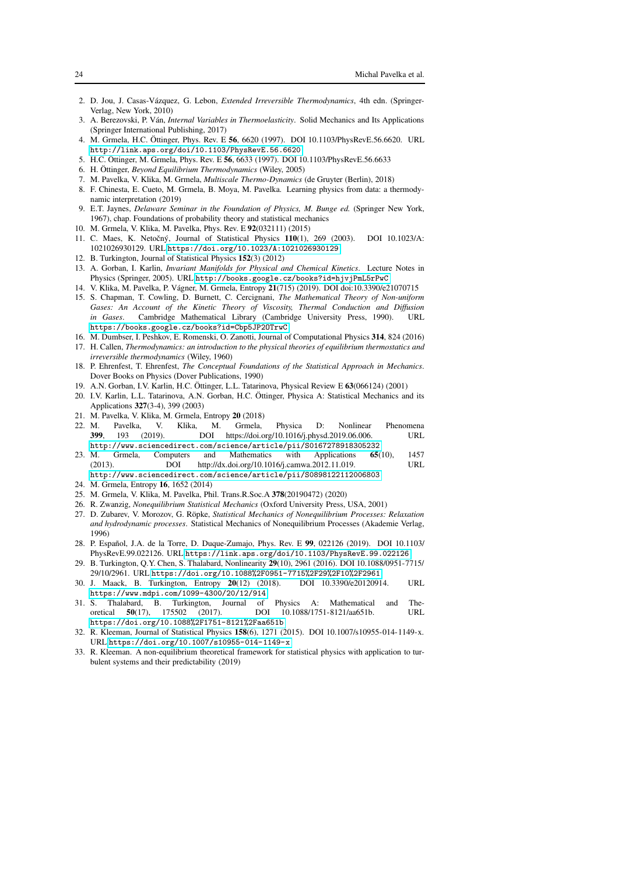- <span id="page-23-0"></span>2. D. Jou, J. Casas-V´azquez, G. Lebon, *Extended Irreversible Thermodynamics*, 4th edn. (Springer-Verlag, New York, 2010)
- <span id="page-23-1"></span>3. A. Berezovski, P. V´an, *Internal Variables in Thermoelasticity*. Solid Mechanics and Its Applications (Springer International Publishing, 2017)
- <span id="page-23-2"></span>4. M. Grmela, H.C. Öttinger, Phys. Rev. E 56, 6620 (1997). DOI 10.1103/PhysRevE.56.6620. URL <http://link.aps.org/doi/10.1103/PhysRevE.56.6620>
- <span id="page-23-4"></span><span id="page-23-3"></span>5. H.C. Öttinger, M. Grmela, Phys. Rev. E 56, 6633 (1997). DOI 10.1103/PhysRevE.56.6633
- <span id="page-23-5"></span>6. H. Öttinger, *Beyond Equilibrium Thermodynamics* (Wiley, 2005)
- <span id="page-23-6"></span>7. M. Pavelka, V. Klika, M. Grmela, *Multiscale Thermo-Dynamics* (de Gruyter (Berlin), 2018)
- 8. F. Chinesta, E. Cueto, M. Grmela, B. Moya, M. Pavelka. Learning physics from data: a thermodynamic interpretation (2019)
- <span id="page-23-7"></span>9. E.T. Jaynes, *Delaware Seminar in the Foundation of Physics, M. Bunge ed.* (Springer New York, 1967), chap. Foundations of probability theory and statistical mechanics
- <span id="page-23-9"></span><span id="page-23-8"></span>10. M. Grmela, V. Klika, M. Pavelka, Phys. Rev. E 92(032111) (2015)
- C. Maes, K. Netočný, Journal of Statistical Physics 110(1), 269 (2003). DOI 10.1023/A: 1021026930129. URL <https://doi.org/10.1023/A:1021026930129>
- <span id="page-23-11"></span><span id="page-23-10"></span>12. B. Turkington, Journal of Statistical Physics 152(3) (2012)
- 13. A. Gorban, I. Karlin, *Invariant Manifolds for Physical and Chemical Kinetics*. Lecture Notes in Physics (Springer, 2005). URL <http://books.google.cz/books?id=hjvjPmL5rPwC>
- <span id="page-23-13"></span><span id="page-23-12"></span>14. V. Klika, M. Pavelka, P. Vágner, M. Grmela, Entropy 21(715) (2019). DOI doi:10.3390/e21070715 15. S. Chapman, T. Cowling, D. Burnett, C. Cercignani, *The Mathematical Theory of Non-uniform*
- *Gases: An Account of the Kinetic Theory of Viscosity, Thermal Conduction and Diffusion in Gases*. Cambridge Mathematical Library (Cambridge University Press, 1990). URL <https://books.google.cz/books?id=Cbp5JP2OTrwC>
- <span id="page-23-15"></span><span id="page-23-14"></span>16. M. Dumbser, I. Peshkov, E. Romenski, O. Zanotti, Journal of Computational Physics 314, 824 (2016)
- 17. H. Callen, *Thermodynamics: an introduction to the physical theories of equilibrium thermostatics and irreversible thermodynamics* (Wiley, 1960)
- <span id="page-23-16"></span>18. P. Ehrenfest, T. Ehrenfest, *The Conceptual Foundations of the Statistical Approach in Mechanics*. Dover Books on Physics (Dover Publications, 1990)
- <span id="page-23-18"></span><span id="page-23-17"></span>19. A.N. Gorban, I.V. Karlin, H.C. Öttinger, L.L. Tatarinova, Physical Review E 63(066124) (2001)
- 20. I.V. Karlin, L.L. Tatarinova, A.N. Gorban, H.C. Ottinger, Physica A: Statistical Mechanics and its ¨ Applications 327(3-4), 399 (2003)
- <span id="page-23-20"></span><span id="page-23-19"></span>21. M. Pavelka, V. Klika, M. Grmela, Entropy 20 (2018)
- 22. M. Pavelka, V. Klika, M. Grmela, Physica D: Nonlinear Phenomena 399, 193 (2019). DOI https://doi.org/10.1016/j.physd.2019.06.006. URL <http://www.sciencedirect.com/science/article/pii/S0167278918305232>
- <span id="page-23-21"></span>23. M. Grmela, Computers and Mathematics with Applications 65(10), 1457 (2013). DOI http://dx.doi.org/10.1016/j.camwa.2012.11.019. URL <http://www.sciencedirect.com/science/article/pii/S0898122112006803>
- <span id="page-23-23"></span><span id="page-23-22"></span>24. M. Grmela, Entropy 16, 1652 (2014)
- <span id="page-23-24"></span>25. M. Grmela, V. Klika, M. Pavelka, Phil. Trans.R.Soc.A 378(20190472) (2020)
- <span id="page-23-25"></span>26. R. Zwanzig, *Nonequilibrium Statistical Mechanics* (Oxford University Press, USA, 2001)
- 27. D. Zubarev, V. Morozov, G. Röpke, *Statistical Mechanics of Nonequilibrium Processes: Relaxation and hydrodynamic processes*. Statistical Mechanics of Nonequilibrium Processes (Akademie Verlag, 1996)
- <span id="page-23-26"></span>28. P. Español, J.A. de la Torre, D. Duque-Zumajo, Phys. Rev. E 99, 022126 (2019). DOI 10.1103/ PhysRevE.99.022126. URL <https://link.aps.org/doi/10.1103/PhysRevE.99.022126>
- <span id="page-23-27"></span>29. B. Turkington, Q.Y. Chen, S. Thalabard, Nonlinearity 29(10), 2961 (2016). DOI 10.1088/0951-7715/ 29/10/2961. URL <https://doi.org/10.1088%2F0951-7715%2F29%2F10%2F2961>
- <span id="page-23-28"></span>30. J. Maack, B. Turkington, Entropy 20(12) (2018). DOI 10.3390/e20120914. URL <https://www.mdpi.com/1099-4300/20/12/914>
- <span id="page-23-29"></span>31. S. Thalabard, B. Turkington, Journal of Physics A: Mathematical and Theoretical 50(17), 175502 (2017). DOI 10.1088/1751-8121/aa651b. URL <https://doi.org/10.1088%2F1751-8121%2Faa651b>
- <span id="page-23-30"></span>32. R. Kleeman, Journal of Statistical Physics 158(6), 1271 (2015). DOI 10.1007/s10955-014-1149-x. URL <https://doi.org/10.1007/s10955-014-1149-x>
- <span id="page-23-31"></span>33. R. Kleeman. A non-equilibrium theoretical framework for statistical physics with application to turbulent systems and their predictability (2019)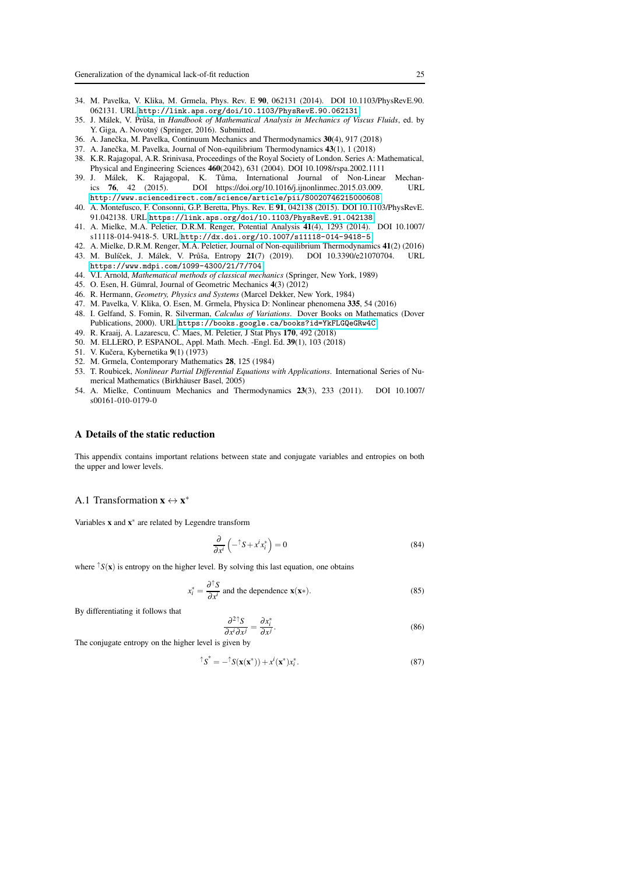- <span id="page-24-1"></span>34. M. Pavelka, V. Klika, M. Grmela, Phys. Rev. E 90, 062131 (2014). DOI 10.1103/PhysRevE.90. 062131. URL <http://link.aps.org/doi/10.1103/PhysRevE.90.062131>
- <span id="page-24-2"></span>35. J. Málek, V. Průša, in *Handbook of Mathematical Analysis in Mechanics of Viscus Fluids*, ed. by Y. Giga, A. Novotný (Springer, 2016). Submitted.
- <span id="page-24-4"></span><span id="page-24-3"></span>36. A. Janečka, M. Pavelka, Continuum Mechanics and Thermodynamics 30(4), 917 (2018)
- <span id="page-24-5"></span>37. A. Janečka, M. Pavelka, Journal of Non-equilibrium Thermodynamics 43(1), 1 (2018)
- 38. K.R. Rajagopal, A.R. Srinivasa, Proceedings of the Royal Society of London. Series A: Mathematical, Physical and Engineering Sciences 460(2042), 631 (2004). DOI 10.1098/rspa.2002.1111
- <span id="page-24-6"></span>39. J. Málek, K. Rajagopal, K. Tůma, International Journal of Non-Linear Mechanics 76, 42 (2015). DOI https://doi.org/10.1016/j.ijnonlinmec.2015.03.009. URL <http://www.sciencedirect.com/science/article/pii/S0020746215000608>
- <span id="page-24-7"></span>40. A. Montefusco, F. Consonni, G.P. Beretta, Phys. Rev. E 91, 042138 (2015). DOI 10.1103/PhysRevE. 91.042138. URL <https://link.aps.org/doi/10.1103/PhysRevE.91.042138>
- <span id="page-24-8"></span>41. A. Mielke, M.A. Peletier, D.R.M. Renger, Potential Analysis 41(4), 1293 (2014). DOI 10.1007/ s11118-014-9418-5. URL <http://dx.doi.org/10.1007/s11118-014-9418-5>
- <span id="page-24-10"></span><span id="page-24-9"></span>42. A. Mielke, D.R.M. Renger, M.A. Peletier, Journal of Non-equilibrium Thermodynamics 41(2) (2016)
- 43. M. Bulíček, J. Málek, V. Průša, Entropy 21(7) (2019). DOI 10.3390/e21070704. URL <https://www.mdpi.com/1099-4300/21/7/704>
- <span id="page-24-12"></span><span id="page-24-11"></span>44. V.I. Arnold, *Mathematical methods of classical mechanics* (Springer, New York, 1989)
- <span id="page-24-13"></span>45. O. Esen, H. Gümral, Journal of Geometric Mechanics 4(3) (2012)
- <span id="page-24-14"></span>46. R. Hermann, *Geometry, Physics and Systems* (Marcel Dekker, New York, 1984)
- <span id="page-24-15"></span>47. M. Pavelka, V. Klika, O. Esen, M. Grmela, Physica D: Nonlinear phenomena 335, 54 (2016)
- 48. I. Gelfand, S. Fomin, R. Silverman, *Calculus of Variations*. Dover Books on Mathematics (Dover Publications, 2000). URL <https://books.google.ca/books?id=YkFLGQeGRw4C>
- <span id="page-24-17"></span><span id="page-24-16"></span>49. R. Kraaij, A. Lazarescu, C. Maes, M. Peletier, J Stat Phys 170, 492 (2018)
- <span id="page-24-18"></span>50. M. ELLERO, P. ESPANOL, Appl. Math. Mech. -Engl. Ed. 39(1), 103 (2018)
- <span id="page-24-19"></span>51. V. Kučera, Kybernetika 9(1) (1973)
- <span id="page-24-22"></span>52. M. Grmela, Contemporary Mathematics 28, 125 (1984)
- 53. T. Roubicek, *Nonlinear Partial Differential Equations with Applications*. International Series of Numerical Mathematics (Birkhäuser Basel, 2005)
- <span id="page-24-23"></span>54. A. Mielke, Continuum Mechanics and Thermodynamics 23(3), 233 (2011). DOI 10.1007/ s00161-010-0179-0

#### <span id="page-24-0"></span>A Details of the static reduction

This appendix contains important relations between state and conjugate variables and entropies on both the upper and lower levels.

## A.1 Transformation  $\mathbf{x} \leftrightarrow \mathbf{x}^*$

Variables x and x ∗ are related by Legendre transform

$$
\frac{\partial}{\partial x^i} \left( -^{\uparrow} S + x^i x_i^* \right) = 0 \tag{84}
$$

where  $\hat{f}S(\mathbf{x})$  is entropy on the higher level. By solving this last equation, one obtains

$$
x_i^* = \frac{\partial^{\uparrow} S}{\partial x^i}
$$
 and the dependence  $\mathbf{x}(\mathbf{x}^*).$  (85)

By differentiating it follows that

<span id="page-24-21"></span>
$$
\frac{\partial^2 \uparrow S}{\partial x^i \partial x^j} = \frac{\partial x_i^*}{\partial x^j}.
$$
 (86)

The conjugate entropy on the higher level is given by

<span id="page-24-20"></span>
$$
\hat{\mathbf{S}}^* = -\hat{\mathbf{S}}(\mathbf{x}(\mathbf{x}^*)) + x^i(\mathbf{x}^*)x_i^*.
$$
\n(87)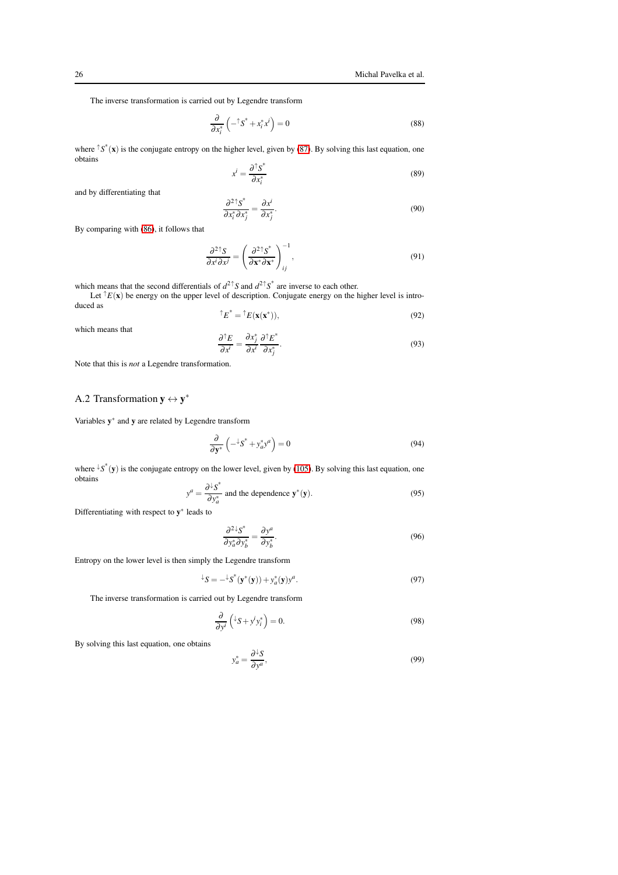The inverse transformation is carried out by Legendre transform

$$
\frac{\partial}{\partial x_i^*} \left( -\hat{\zeta}^* + x_i^* x^i \right) = 0 \tag{88}
$$

where  $\int s^*(\mathbf{x})$  is the conjugate entropy on the higher level, given by [\(87\)](#page-24-20). By solving this last equation, one obtains

$$
x^{i} = \frac{\partial^{\uparrow} S^{*}}{\partial x_{i}^{*}}
$$
 (89)

and by differentiating that

$$
\frac{\partial^2 \uparrow s^*}{\partial x_i^* \partial x_j^*} = \frac{\partial x^i}{\partial x_j^*}.
$$
\n(90)

By comparing with [\(86\)](#page-24-21), it follows that

$$
\frac{\partial^2{}^{\uparrow}S}{\partial x^i \partial x^j} = \left(\frac{\partial^2{}^{\uparrow}S^*}{\partial x^* \partial x^*}\right)^{-1}_{ij},\tag{91}
$$

which means that the second differentials of  $d^{2\uparrow}S$  and  $d^{2\uparrow}S^*$  are inverse to each other.

Let  $\hat{}^{\dagger}E(\mathbf{x})$  be energy on the upper level of description. Conjugate energy on the higher level is introduced as ↑*E* ∗

$$
E^{\dagger} = {}^{\dagger}E(\mathbf{x}(\mathbf{x}^*)),\tag{92}
$$

which means that

$$
\frac{\partial^{\dagger} E}{\partial x^i} = \frac{\partial x_j^*}{\partial x^i} \frac{\partial^{\dagger} E^*}{\partial x_j^*}.
$$
\n(93)

Note that this is *not* a Legendre transformation.

## <span id="page-25-3"></span>A.2 Transformation  $y \leftrightarrow y^*$

Variables y ∗ and y are related by Legendre transform

$$
\frac{\partial}{\partial \mathbf{y}^*} \left( -\frac{1}{2} S^* + y_a^* y^a \right) = 0 \tag{94}
$$

where  $\downarrow S^*(y)$  is the conjugate entropy on the lower level, given by [\(105\)](#page-26-2). By solving this last equation, one obtains

<span id="page-25-0"></span>
$$
y^{a} = \frac{\partial^{1} S^{*}}{\partial y_{a}^{*}} \text{ and the dependence } \mathbf{y}^{*}(\mathbf{y}).
$$
 (95)

Differentiating with respect to  $y^*$  leads to

<span id="page-25-2"></span>
$$
\frac{\partial^2 \psi^*_{\mathcal{S}}}{\partial y^*_{a} \partial y^*_{b}} = \frac{\partial y^a}{\partial y^*_{b}}.
$$
\n(96)

Entropy on the lower level is then simply the Legendre transform

$$
\ {}^{\downarrow}S = -{}^{\downarrow}S^*(\mathbf{y}^*(\mathbf{y})) + y_a^*(\mathbf{y})y^a.
$$
 (97)

The inverse transformation is carried out by Legendre transform

$$
\frac{\partial}{\partial y^i} \left( {}^{\downarrow}S + y^i y_i^* \right) = 0. \tag{98}
$$

By solving this last equation, one obtains

<span id="page-25-1"></span>
$$
y_a^* = \frac{\partial^{\perp} S}{\partial y^a},\tag{99}
$$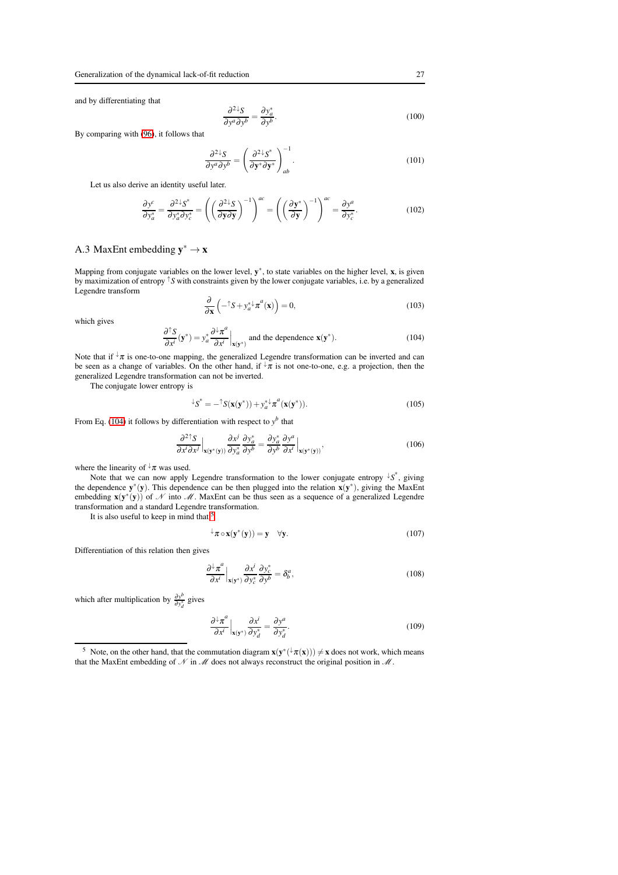and by differentiating that

$$
\frac{\partial^2{}^{\downarrow}S}{\partial y^a \partial y^b} = \frac{\partial y_a^*}{\partial y^b}.
$$
\n(100)

By comparing with [\(96\)](#page-25-2), it follows that

$$
\frac{\partial^2{}^{\downarrow}S}{\partial y^a \partial y^b} = \left(\frac{\partial^2{}^{\downarrow}S^*}{\partial \mathbf{y}^* \partial \mathbf{y}^*}\right)_{ab}^{-1}.\tag{101}
$$

Let us also derive an identity useful later.

$$
\frac{\partial y^c}{\partial y^*_{a}} = \frac{\partial^{2\downarrow} S^*}{\partial y^*_{a} \partial y^*_{c}} = \left( \left( \frac{\partial^{2\downarrow} S}{\partial y \partial y} \right)^{-1} \right)^{ac} = \left( \left( \frac{\partial y^*}{\partial y} \right)^{-1} \right)^{ac} = \frac{\partial y^a}{\partial y^*_{c}}.
$$
 (102)

## <span id="page-26-0"></span>A.3 MaxEnt embedding  $y^* \to x$

Mapping from conjugate variables on the lower level,  $y^*$ , to state variables on the higher level,  $x$ , is given by maximization of entropy ↑*S* with constraints given by the lower conjugate variables, i.e. by a generalized Legendre transform

$$
\frac{\partial}{\partial \mathbf{x}} \left( -\mathbf{x} + y_a^* \mathbf{x}^a(\mathbf{x}) \right) = 0,\tag{103}
$$

which gives

<span id="page-26-1"></span>
$$
\frac{\partial^{\uparrow} S}{\partial x^{i}}(\mathbf{y}^{*}) = y_{a}^{*} \frac{\partial^{{\downarrow}} \pi^{a}}{\partial x^{i}} \Big|_{\mathbf{x}(\mathbf{y}^{*})} \text{ and the dependence } \mathbf{x}(\mathbf{y}^{*}). \tag{104}
$$

Note that if  $\sqrt{1/\pi}$  is one-to-one mapping, the generalized Legendre transformation can be inverted and can be seen as a change of variables. On the other hand, if  $\downarrow \pi$  is not one-to-one, e.g. a projection, then the generalized Legendre transformation can not be inverted.

The conjugate lower entropy is

<span id="page-26-2"></span>
$$
\ {}^{\downarrow}S^* = - {}^{\uparrow}S(\mathbf{x}(\mathbf{y}^*)) + y_a^* {}^{\downarrow} \pi^a(\mathbf{x}(\mathbf{y}^*)). \tag{105}
$$

From Eq. [\(104\)](#page-26-1) it follows by differentiation with respect to  $y^b$  that

$$
\frac{\partial^{2\uparrow} S}{\partial x^{i} \partial x^{j}}\Big|_{\mathbf{x}(\mathbf{y}^{*}(\mathbf{y}))} \frac{\partial x^{j}}{\partial y_{a}^{*}} \frac{\partial y_{a}^{*}}{\partial y^{b}} = \frac{\partial y_{a}^{*}}{\partial y^{b}} \frac{\partial y^{a}}{\partial x^{i}}\Big|_{\mathbf{x}(\mathbf{y}^{*}(\mathbf{y}))},
$$
\n(106)

where the linearity of  $\sqrt{t}$  was used.

Note that we can now apply Legendre transformation to the lower conjugate entropy ↓*S* ∗ , giving the dependence  $y^*(y)$ . This dependence can be then plugged into the relation  $x(y^*)$ , giving the MaxEnt embedding  $\mathbf{x}(\mathbf{y}^*(\mathbf{y}))$  of N into M. MaxEnt can be thus seen as a sequence of a generalized Legendre transformation and a standard Legendre transformation.

It is also useful to keep in mind that <sup>[5](#page-26-3)</sup>

$$
\downarrow \pi \circ \mathbf{x}(\mathbf{y}^*(\mathbf{y})) = \mathbf{y} \quad \forall \mathbf{y}.\tag{107}
$$

Differentiation of this relation then gives

$$
\frac{\partial^{\downarrow} \pi^a}{\partial x^i} \Big|_{\mathbf{x}(\mathbf{y}^*)} \frac{\partial x^i}{\partial y^*_c} \frac{\partial y^*_c}{\partial y^b} = \delta^a_b,
$$
\n(108)

which after multiplication by  $\frac{\partial y^b}{\partial y^*}$  $\frac{\partial y^*}{\partial y^*_{d}}$  gives

<span id="page-26-4"></span>
$$
\frac{\partial^{\downarrow} \pi^a}{\partial x^i} \Big|_{\mathbf{x}(\mathbf{y}^*)} \frac{\partial x^i}{\partial y^*_d} = \frac{\partial y^a}{\partial y^*_d}.
$$
 (109)

<span id="page-26-3"></span><sup>&</sup>lt;sup>5</sup> Note, on the other hand, that the commutation diagram  $\mathbf{x}(\mathbf{y}^*(\mathbf{x})) \neq \mathbf{x}$  does not work, which means that the MaxEnt embedding of  $N$  in  $M$  does not always reconstruct the original position in  $M$ .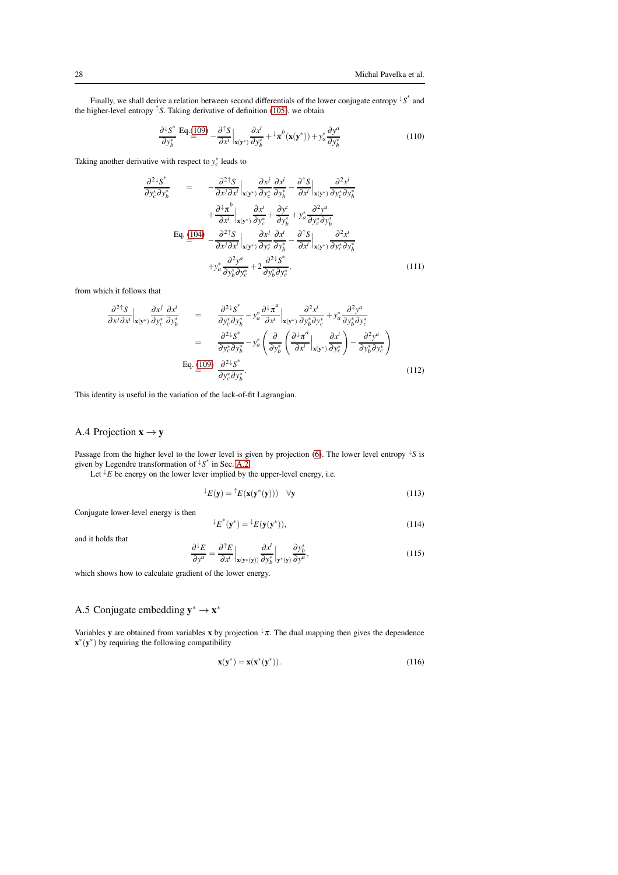Finally, we shall derive a relation between second differentials of the lower conjugate entropy ↓*S* ∗ and the higher-level entropy  $\uparrow$  *S*. Taking derivative of definition [\(105\)](#page-26-2), we obtain

$$
\frac{\partial^{\perp} S^*}{\partial y_b^*} \mathbf{Eq.} \frac{(109)}{=} -\frac{\partial^{\uparrow} S}{\partial x^i} \Big|_{\mathbf{x}(\mathbf{y}^*)} \frac{\partial x^i}{\partial y_b^*} + \mu^b(\mathbf{x}(\mathbf{y}^*)) + y_a^* \frac{\partial y^a}{\partial y_b^*}
$$
(110)

Taking another derivative with respect to  $y_c^*$  leads to

$$
\frac{\partial^2}{\partial y_c^* \partial y_b^*} = -\frac{\partial^2 f_S}{\partial x^j \partial x^i} \Big|_{\mathbf{x}(\mathbf{y}^*)} \frac{\partial x^j}{\partial y_c^*} \frac{\partial x^i}{\partial y_b^*} - \frac{\partial^2 f_S}{\partial x^i} \Big|_{\mathbf{x}(\mathbf{y}^*)} \frac{\partial^2 x^i}{\partial y_c^* \partial y_b^*} + \frac{\partial^2 x^j}{\partial x^i} \Big|_{\mathbf{x}(\mathbf{y}^*)} \frac{\partial x^i}{\partial y_c^*} + \frac{\partial y^c}{\partial y_b^*} + y_a^* \frac{\partial^2 y^a}{\partial y_c^* \partial y_b^*} + \frac{\partial^2 y^a}{\partial x^i \partial y_c^*} \frac{\partial^2 x^i}{\partial y_c^*} - \frac{\partial^2 f_S}{\partial x^i} \Big|_{\mathbf{x}(\mathbf{y}^*)} \frac{\partial^2 x^i}{\partial y_c^* \partial y_b^*} + y_a^* \frac{\partial^2 y^a}{\partial y_b^* \partial y_c^*} + 2 \frac{\partial^2 x^i}{\partial y_b^* \partial y_c^*}, \tag{111}
$$

from which it follows that

<span id="page-27-1"></span>
$$
\frac{\partial^2 f_S}{\partial x^j \partial x^i} \Big|_{\mathbf{x}(\mathbf{y}^*)} \frac{\partial x^j}{\partial y_c^*} \frac{\partial x^i}{\partial y_b^*} = \frac{\partial^2 \mathbf{x}^*}{\partial y_c^* \partial y_b^*} - y_a^* \frac{\partial^2 \pi^a}{\partial x^i} \Big|_{\mathbf{x}(\mathbf{y}^*)} \frac{\partial^2 x^i}{\partial y_b^* \partial y_c^*} + y_a^* \frac{\partial^2 y^a}{\partial y_b^* \partial y_c^*} \n= \frac{\partial^2 \mathbf{x}^*}{\partial y_c^* \partial y_b^*} - y_a^* \left( \frac{\partial}{\partial y_b^*} \left( \frac{\partial^2 \pi^a}{\partial x^i} \Big|_{\mathbf{x}(\mathbf{y}^*)} \frac{\partial x^i}{\partial y_c^*} \right) - \frac{\partial^2 y^a}{\partial y_b^* \partial y_c^*} \right) \n\text{Eq. (109)} \frac{\partial^2 \mathbf{x}^*}{\partial y_c^* \partial y_b^*}.
$$
\n(112)

This identity is useful in the variation of the lack-of-fit Lagrangian.

## <span id="page-27-0"></span>A.4 Projection  $x \rightarrow y$

Passage from the higher level to the lower level is given by projection [\(6\)](#page-5-2). The lower level entropy  $\frac{1}{s}S$  is given by Legendre transformation of ↓*S* ∗ in Sec. [A.2](#page-25-3)

Let  $\overline{E}$  be energy on the lower lever implied by the upper-level energy, i.e.

$$
\mathcal{L}(\mathbf{y}) = \mathcal{L}(\mathbf{x}(\mathbf{y}^*(\mathbf{y}))) \quad \forall \mathbf{y}
$$
 (113)

Conjugate lower-level energy is then

$$
\mathcal{L}^*(\mathbf{y}^*) = \mathcal{L}(\mathbf{y}(\mathbf{y}^*)),\tag{114}
$$

and it holds that

$$
\frac{\partial^{\downarrow} E}{\partial y^a} = \frac{\partial^{\uparrow} E}{\partial x^i} \Big|_{\mathbf{x}(\mathbf{y}^*(\mathbf{y}))} \frac{\partial x^i}{\partial y^*_b} \Big|_{\mathbf{y}^*(\mathbf{y})} \frac{\partial y^*_b}{\partial y^a},\tag{115}
$$

which shows how to calculate gradient of the lower energy.

## A.5 Conjugate embedding  $y^* \to x^*$

Variables y are obtained from variables x by projection  $\sqrt[n]{\pi}$ . The dual mapping then gives the dependence  $\mathbf{x}^*(\mathbf{y}^*)$  by requiring the following compatibility

$$
\mathbf{x}(\mathbf{y}^*) = \mathbf{x}(\mathbf{x}^*(\mathbf{y}^*)).
$$
\n(116)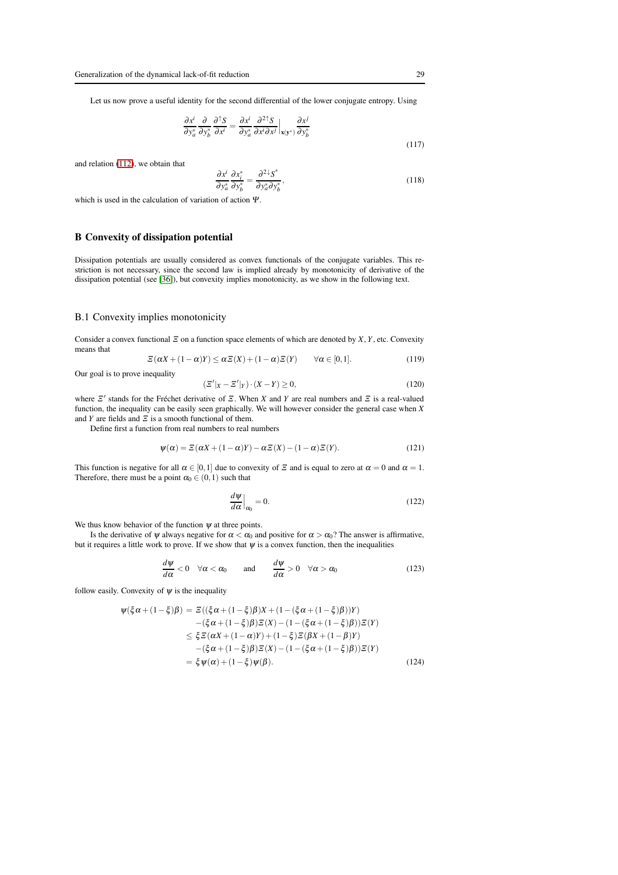Let us now prove a useful identity for the second differential of the lower conjugate entropy. Using

$$
\frac{\partial x^i}{\partial y^*_a} \frac{\partial}{\partial y^*_b} \frac{\partial^{\dagger} S}{\partial x^i} = \frac{\partial x^i}{\partial y^*_a} \frac{\partial^2 \uparrow S}{\partial x^i \partial x^j} \Big|_{\mathbf{x}(\mathbf{y}^*)} \frac{\partial x^j}{\partial y^*_b}
$$
\n(117)

and relation [\(112\)](#page-27-1), we obtain that

<span id="page-28-1"></span>
$$
\frac{\partial x^i}{\partial y^*_a} \frac{\partial x^*_i}{\partial y^*_b} = \frac{\partial^2 \zeta^*}{\partial y^*_a \partial y^*_b},\tag{118}
$$

which is used in the calculation of variation of action <sup>Ψ</sup>.

## <span id="page-28-0"></span>B Convexity of dissipation potential

Dissipation potentials are usually considered as convex functionals of the conjugate variables. This restriction is not necessary, since the second law is implied already by monotonicity of derivative of the dissipation potential (see [\[36\]](#page-24-3)), but convexity implies monotonicity, as we show in the following text.

#### B.1 Convexity implies monotonicity

Consider a convex functional <sup>Ξ</sup> on a function space elements of which are denoted by *X*, *Y*, etc. Convexity means that

<span id="page-28-3"></span>
$$
\mathcal{Z}(\alpha X + (1 - \alpha)Y) \leq \alpha \mathcal{Z}(X) + (1 - \alpha) \mathcal{Z}(Y) \qquad \forall \alpha \in [0, 1].
$$
\n(119)

Our goal is to prove inequality

$$
(\Xi'|_X - \Xi'|_Y) \cdot (X - Y) \ge 0,\tag{120}
$$

where  $\mathbb{Z}'$  stands for the Fréchet derivative of  $\mathbb{Z}$ . When *X* and *Y* are real numbers and  $\mathbb{Z}$  is a real-valued function, the inequality can be easily seen graphically. We will however consider the general case when *X* and *Y* are fields and  $\overline{z}$  is a smooth functional of them.

Define first a function from real numbers to real numbers

$$
\psi(\alpha) = \mathcal{E}(\alpha X + (1 - \alpha)Y) - \alpha \mathcal{E}(X) - (1 - \alpha)\mathcal{E}(Y).
$$
 (121)

This function is negative for all  $\alpha \in [0,1]$  due to convexity of  $\Xi$  and is equal to zero at  $\alpha = 0$  and  $\alpha = 1$ . Therefore, there must be a point  $\alpha_0 \in (0,1)$  such that

$$
\left. \frac{d\psi}{d\alpha} \right|_{\alpha_0} = 0. \tag{122}
$$

We thus know behavior of the function  $\psi$  at three points.

Is the derivative of  $\psi$  always negative for  $\alpha < \alpha_0$  and positive for  $\alpha > \alpha_0$ ? The answer is affirmative, but it requires a little work to prove. If we show that  $\psi$  is a convex function, then the inequalities

<span id="page-28-2"></span>
$$
\frac{d\psi}{d\alpha} < 0 \quad \forall \alpha < \alpha_0 \qquad \text{and} \qquad \frac{d\psi}{d\alpha} > 0 \quad \forall \alpha > \alpha_0 \tag{123}
$$

follow easily. Convexity of  $\psi$  is the inequality

$$
\psi(\xi\alpha + (1-\xi)\beta) = \Xi((\xi\alpha + (1-\xi)\beta)X + (1-(\xi\alpha + (1-\xi)\beta))Y)
$$
  
-( $\xi\alpha + (1-\xi)\beta$ )\Xi(X) - (1-( $\xi\alpha + (1-\xi)\beta$ ))\Xi(Y)  
 $\leq \xi\Xi(\alpha X + (1-\alpha)Y) + (1-\xi)\Xi(\beta X + (1-\beta)Y)$   
-( $\xi\alpha + (1-\xi)\beta$ )\Xi(X) - (1-( $\xi\alpha + (1-\xi)\beta$ ))\Xi(Y)  
 $= \xi \psi(\alpha) + (1-\xi)\psi(\beta).$  (124)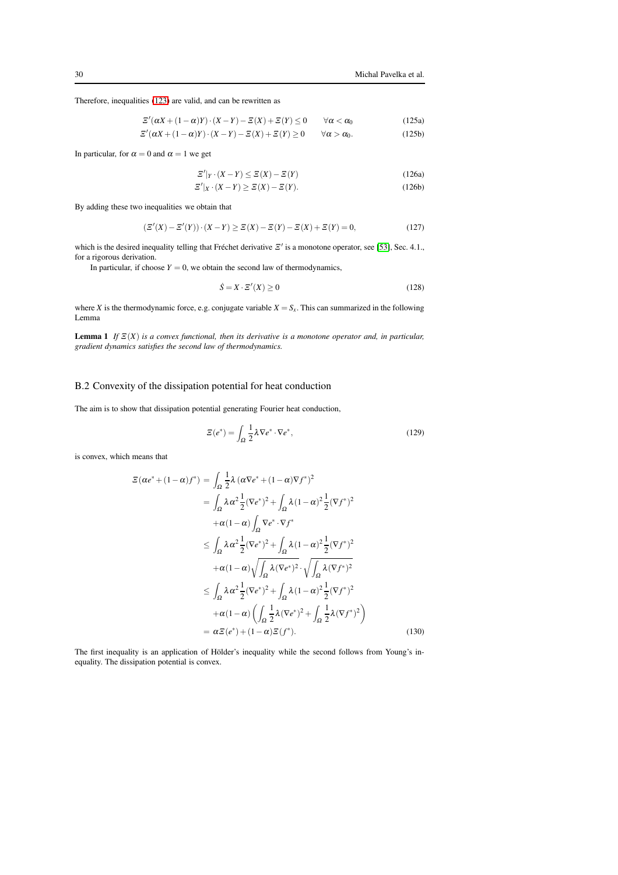Therefore, inequalities [\(123\)](#page-28-2) are valid, and can be rewritten as

$$
\mathcal{Z}'(\alpha X + (1 - \alpha)Y) \cdot (X - Y) - \mathcal{Z}(X) + \mathcal{Z}(Y) \le 0 \qquad \forall \alpha < \alpha_0
$$
\n
$$
\mathcal{Z}'(\alpha X + (1 - \alpha)Y) \cdot (X - Y) - \mathcal{Z}(X) + \mathcal{Z}(Y) \ge 0 \qquad \forall \alpha > \alpha_0.
$$
\n(125a)

In particular, for  $\alpha = 0$  and  $\alpha = 1$  we get

$$
\mathcal{Z}'|_{Y} \cdot (X - Y) \le \mathcal{Z}(X) - \mathcal{Z}(Y) \tag{126a}
$$

$$
\mathcal{Z}'|_{X} \cdot (X - Y) \ge \mathcal{Z}(X) - \mathcal{Z}(Y). \tag{126b}
$$

By adding these two inequalities we obtain that

$$
(\Xi'(X) - \Xi'(Y)) \cdot (X - Y) \ge \Xi(X) - \Xi(Y) - \Xi(X) + \Xi(Y) = 0,\tag{127}
$$

which is the desired inequality telling that Fréchet derivative  $\mathbb{E}'$  is a monotone operator, see [\[53\]](#page-24-22), Sec. 4.1., for a rigorous derivation.

In particular, if choose  $Y = 0$ , we obtain the second law of thermodynamics,

$$
\dot{S} = X \cdot \Xi'(X) \ge 0 \tag{128}
$$

where *X* is the thermodynamic force, e.g. conjugate variable  $X = S_X$ . This can summarized in the following Lemma

Lemma 1 *If* <sup>Ξ</sup>(*X*) *is a convex functional, then its derivative is a monotone operator and, in particular, gradient dynamics satisfies the second law of thermodynamics.*

## B.2 Convexity of the dissipation potential for heat conduction

The aim is to show that dissipation potential generating Fourier heat conduction,

<span id="page-29-0"></span>
$$
\mathcal{Z}(e^*) = \int_{\Omega} \frac{1}{2} \lambda \nabla e^* \cdot \nabla e^*,\tag{129}
$$

is convex, which means that

$$
\mathcal{E}(\alpha e^* + (1 - \alpha)f^*) = \int_{\Omega} \frac{1}{2} \lambda (\alpha \nabla e^* + (1 - \alpha) \nabla f^*)^2
$$
  
\n
$$
= \int_{\Omega} \lambda \alpha^2 \frac{1}{2} (\nabla e^*)^2 + \int_{\Omega} \lambda (1 - \alpha)^2 \frac{1}{2} (\nabla f^*)^2
$$
  
\n
$$
+ \alpha (1 - \alpha) \int_{\Omega} \nabla e^* \cdot \nabla f^*
$$
  
\n
$$
\leq \int_{\Omega} \lambda \alpha^2 \frac{1}{2} (\nabla e^*)^2 + \int_{\Omega} \lambda (1 - \alpha)^2 \frac{1}{2} (\nabla f^*)^2
$$
  
\n
$$
+ \alpha (1 - \alpha) \sqrt{\int_{\Omega} \lambda (\nabla e^*)^2} \cdot \sqrt{\int_{\Omega} \lambda (\nabla f^*)^2}
$$
  
\n
$$
\leq \int_{\Omega} \lambda \alpha^2 \frac{1}{2} (\nabla e^*)^2 + \int_{\Omega} \lambda (1 - \alpha)^2 \frac{1}{2} (\nabla f^*)^2
$$
  
\n
$$
+ \alpha (1 - \alpha) \left( \int_{\Omega} \frac{1}{2} \lambda (\nabla e^*)^2 + \int_{\Omega} \frac{1}{2} \lambda (\nabla f^*)^2 \right)
$$
  
\n
$$
= \alpha \mathbb{E}(e^*) + (1 - \alpha) \mathbb{E}(f^*).
$$
 (130)

The first inequality is an application of Hölder's inequality while the second follows from Young's inequality. The dissipation potential is convex.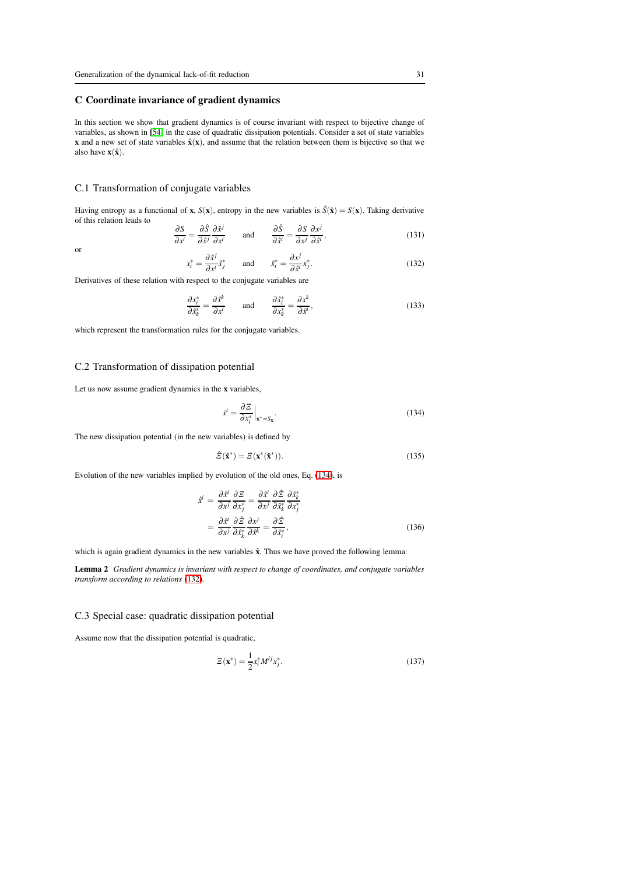## <span id="page-30-0"></span>C Coordinate invariance of gradient dynamics

In this section we show that gradient dynamics is of course invariant with respect to bijective change of variables, as shown in [\[54\]](#page-24-23) in the case of quadratic dissipation potentials. Consider a set of state variables x and a new set of state variables  $\hat{\mathbf{x}}(\mathbf{x})$ , and assume that the relation between them is bijective so that we also have  $\mathbf{x}(\hat{\mathbf{x}})$ .

#### C.1 Transformation of conjugate variables

or

Having entropy as a functional of **x**,  $S(\mathbf{x})$ , entropy in the new variables is  $\hat{S}(\hat{\mathbf{x}}) = S(\mathbf{x})$ . Taking derivative of this relation leads to

$$
\frac{\partial S}{\partial x^i} = \frac{\partial \hat{S}}{\partial \hat{x}^j} \frac{\partial \hat{x}^j}{\partial x^i} \quad \text{and} \quad \frac{\partial \hat{S}}{\partial \hat{x}^i} = \frac{\partial S}{\partial x^j} \frac{\partial x^j}{\partial \hat{x}^i},\tag{131}
$$

<span id="page-30-2"></span>
$$
x_i^* = \frac{\partial \hat{x}^j}{\partial x^i} \hat{x}_j^* \quad \text{and} \quad \hat{x}_i^* = \frac{\partial x^j}{\partial \hat{x}^i} x_j^*.
$$
 (132)

Derivatives of these relation with respect to the conjugate variables are

<span id="page-30-5"></span>
$$
\frac{\partial x_i^*}{\partial \hat{x}_k^*} = \frac{\partial \hat{x}^k}{\partial x^i} \quad \text{and} \quad \frac{\partial \hat{x}_i^*}{\partial x_k^*} = \frac{\partial x^k}{\partial \hat{x}^i},\tag{133}
$$

which represent the transformation rules for the conjugate variables.

#### C.2 Transformation of dissipation potential

Let us now assume gradient dynamics in the x variables,

<span id="page-30-1"></span>
$$
\dot{x}^i = \frac{\partial \mathcal{Z}}{\partial x_i^*} \bigg|_{x^* = S_x}.
$$
\n(134)

The new dissipation potential (in the new variables) is defined by

<span id="page-30-4"></span><span id="page-30-3"></span>
$$
\hat{\Xi}(\hat{\mathbf{x}}^*) = \Xi(\mathbf{x}^*(\hat{\mathbf{x}}^*)).
$$
\n(135)

Evolution of the new variables implied by evolution of the old ones, Eq. [\(134\)](#page-30-1), is

$$
\dot{\hat{x}}^i = \frac{\partial \hat{x}^i}{\partial x^j} \frac{\partial \Xi}{\partial x^*_{j}} = \frac{\partial \hat{x}^i}{\partial x^j} \frac{\partial \hat{\Xi}}{\partial x^*_{k}} \frac{\partial x^*_{k}}{\partial x^*_{j}}
$$
  
= 
$$
\frac{\partial \hat{x}^i}{\partial x^j} \frac{\partial \hat{\Xi}}{\partial x^*_{k}} \frac{\partial x^j}{\partial \hat{x}^k} = \frac{\partial \hat{\Xi}}{\partial x^*_{i}},
$$
(136)

which is again gradient dynamics in the new variables  $\hat{x}$ . Thus we have proved the following lemma:

Lemma 2 *Gradient dynamics is invariant with respect to change of coordinates, and conjugate variables transform according to relations* [\(132\)](#page-30-2)*.*

## C.3 Special case: quadratic dissipation potential

Assume now that the dissipation potential is quadratic,

$$
\mathcal{Z}(\mathbf{x}^*) = \frac{1}{2} x_i^* M^{ij} x_j^*.
$$
\n(137)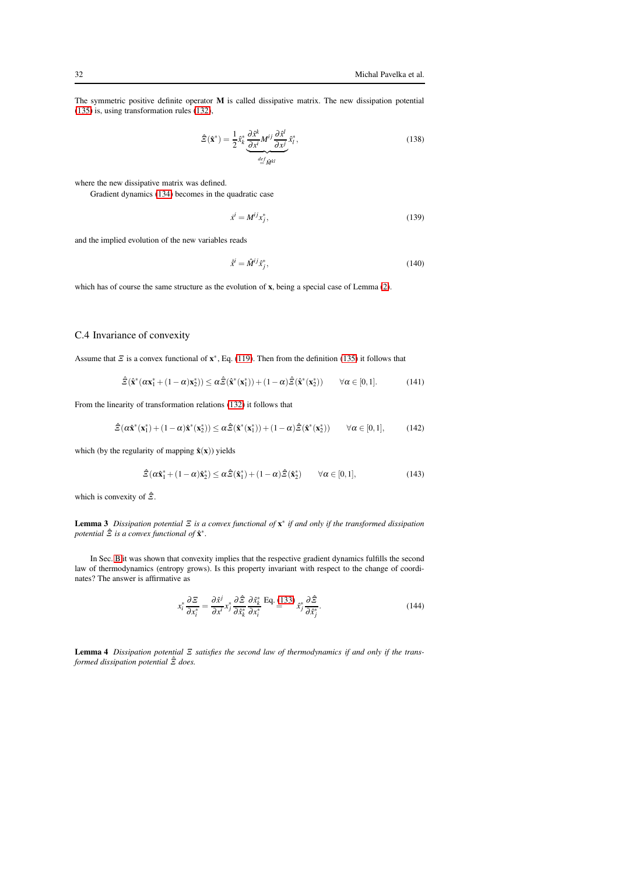The symmetric positive definite operator M is called dissipative matrix. The new dissipation potential [\(135\)](#page-30-3) is, using transformation rules [\(132\)](#page-30-2),

<span id="page-31-0"></span><sup>Ξ</sup>ˆ(xˆ ∗ ) = <sup>1</sup> 2 *x*ˆ ∗ *k* ∂*x*ˆ *k* ∂*x i M i j* <sup>∂</sup>*x*ˆ *l* ∂*x j* | {z } *def* = *M*ˆ *kl x*ˆ ∗ *l* , (138)

where the new dissipative matrix was defined.

Gradient dynamics [\(134\)](#page-30-1) becomes in the quadratic case

$$
\dot{x}^i = M^{ij} x_j^*,\tag{139}
$$

and the implied evolution of the new variables reads

$$
\dot{\mathbf{x}}^i = \hat{M}^{ij}\hat{\mathbf{x}}^*_j,\tag{140}
$$

which has of course the same structure as the evolution of **x**, being a special case of Lemma [\(2\)](#page-30-4).

## C.4 Invariance of convexity

Assume that  $\Xi$  is a convex functional of  $\mathbf{x}^*$ , Eq. [\(119\)](#page-28-3). Then from the definition [\(135\)](#page-30-3) it follows that

$$
\hat{\Xi}(\hat{\mathbf{x}}^*(\alpha \mathbf{x}_1^* + (1 - \alpha)\mathbf{x}_2^*)) \leq \alpha \hat{\Xi}(\hat{\mathbf{x}}^*(\mathbf{x}_1^*)) + (1 - \alpha)\hat{\Xi}(\hat{\mathbf{x}}^*(\mathbf{x}_2^*)) \qquad \forall \alpha \in [0, 1]. \tag{141}
$$

From the linearity of transformation relations [\(132\)](#page-30-2) it follows that

$$
\hat{\Xi}(\alpha \hat{\mathbf{x}}^* (\mathbf{x}_1^*) + (1 - \alpha) \hat{\mathbf{x}}^* (\mathbf{x}_2^*)) \leq \alpha \hat{\Xi}(\hat{\mathbf{x}}^* (\mathbf{x}_1^*)) + (1 - \alpha) \hat{\Xi}(\hat{\mathbf{x}}^* (\mathbf{x}_2^*)) \qquad \forall \alpha \in [0, 1],\tag{142}
$$

which (by the regularity of mapping  $\hat{\mathbf{x}}(\mathbf{x})$ ) yields

$$
\hat{\Xi}(\alpha \hat{\mathbf{x}}_1^* + (1 - \alpha)\hat{\mathbf{x}}_2^*) \leq \alpha \hat{\Xi}(\hat{\mathbf{x}}_1^*) + (1 - \alpha)\hat{\Xi}(\hat{\mathbf{x}}_2^*) \qquad \forall \alpha \in [0, 1],\tag{143}
$$

which is convexity of  $\hat{\Xi}$ .

Lemma 3 *Dissipation potential* <sup>Ξ</sup> *is a convex functional of* x ∗ *if and only if the transformed dissipation* potential  $\hat{\Xi}$  is a convex functional of  $\hat{\mathbf{x}}^*$ .

In Sec. [B](#page-28-0) it was shown that convexity implies that the respective gradient dynamics fulfills the second law of thermodynamics (entropy grows). Is this property invariant with respect to the change of coordinates? The answer is affirmative as

$$
x_i^* \frac{\partial \Xi}{\partial x_i^*} = \frac{\partial \hat{x}^j}{\partial x_i^i} x_j^* \frac{\partial \hat{\Xi}}{\partial x_k^*} \frac{\partial \hat{x}_k^*}{\partial x_i^*} \stackrel{\text{Eq. (133)}}{=} x_j^* \frac{\partial \hat{\Xi}}{\partial \hat{x}_j^*}.
$$
 (144)

Lemma 4 *Dissipation potential* <sup>Ξ</sup> *satisfies the second law of thermodynamics if and only if the transformed dissipation potential* <sup>Ξ</sup>ˆ *does.*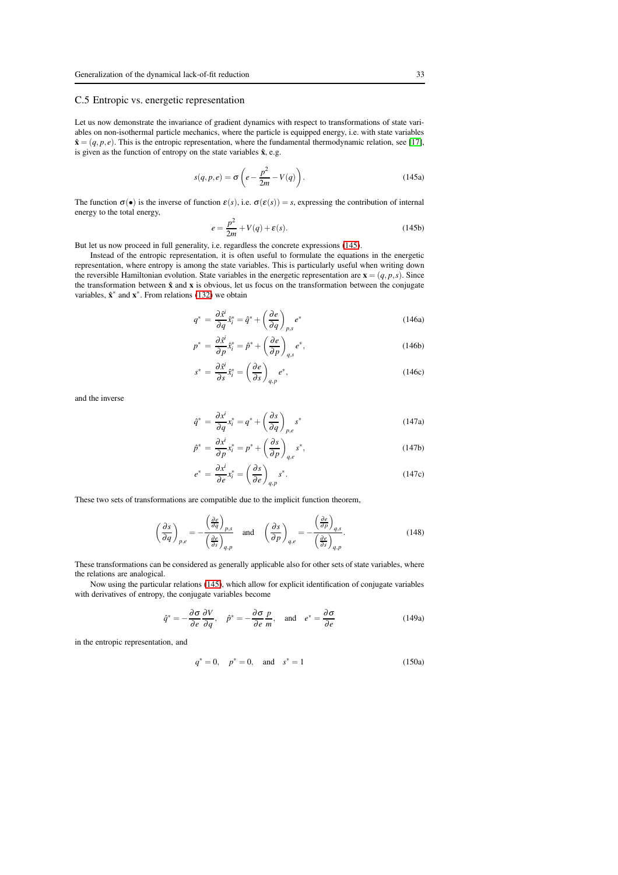## C.5 Entropic vs. energetic representation

Let us now demonstrate the invariance of gradient dynamics with respect to transformations of state variables on non-isothermal particle mechanics, where the particle is equipped energy, i.e. with state variables  $\hat{\mathbf{x}} = (q, p, e)$ . This is the entropic representation, where the fundamental thermodynamic relation, see [\[17\]](#page-23-15), is given as the function of entropy on the state variables  $\hat{x}$ , e.g.

<span id="page-32-0"></span>
$$
s(q, p, e) = \sigma \left( e - \frac{p^2}{2m} - V(q) \right).
$$
 (145a)

The function  $\sigma(\bullet)$  is the inverse of function  $\varepsilon(s)$ , i.e.  $\sigma(\varepsilon(s)) = s$ , expressing the contribution of internal energy to the total energy,

$$
e = \frac{p^2}{2m} + V(q) + \varepsilon(s).
$$
 (145b)

But let us now proceed in full generality, i.e. regardless the concrete expressions [\(145\)](#page-32-0).

Instead of the entropic representation, it is often useful to formulate the equations in the energetic representation, where entropy is among the state variables. This is particularly useful when writing down the reversible Hamiltonian evolution. State variables in the energetic representation are  $\mathbf{x} = (q, p, s)$ . Since the transformation between  $\hat{x}$  and  $x$  is obvious, let us focus on the transformation between the conjugate variables,  $\hat{\mathbf{x}}^*$  and  $\mathbf{x}^*$ . From relations [\(132\)](#page-30-2) we obtain

$$
q^* = \frac{\partial \dot{x}^i}{\partial q} \dot{x}^*_i = \hat{q}^* + \left(\frac{\partial e}{\partial q}\right)_{p,s} e^*
$$
 (146a)

$$
p^* = \frac{\partial \dot{x}^i}{\partial p} \hat{x}^*_i = \hat{p}^* + \left(\frac{\partial e}{\partial p}\right)_{q,s} e^*,
$$
 (146b)

$$
s^* = \frac{\partial \hat{x}^i}{\partial s} \hat{x}^*_i = \left(\frac{\partial e}{\partial s}\right)_{q,p} e^*,\tag{146c}
$$

and the inverse

$$
\hat{q}^* = \frac{\partial x^i}{\partial q} x_i^* = q^* + \left(\frac{\partial s}{\partial q}\right)_{p,e} s^*
$$
\n(147a)

$$
\hat{p}^* = \frac{\partial x^i}{\partial p} x_i^* = p^* + \left(\frac{\partial s}{\partial p}\right)_{q,e} s^*,\tag{147b}
$$

$$
e^* = \frac{\partial x^i}{\partial e} x_i^* = \left(\frac{\partial s}{\partial e}\right)_{q,p} s^*.
$$
 (147c)

These two sets of transformations are compatible due to the implicit function theorem,

$$
\left(\frac{\partial s}{\partial q}\right)_{p,e} = -\frac{\left(\frac{\partial e}{\partial q}\right)_{p,s}}{\left(\frac{\partial e}{\partial s}\right)_{q,p}} \quad \text{and} \quad \left(\frac{\partial s}{\partial p}\right)_{q,e} = -\frac{\left(\frac{\partial e}{\partial p}\right)_{q,s}}{\left(\frac{\partial e}{\partial s}\right)_{q,p}}.\tag{148}
$$

These transformations can be considered as generally applicable also for other sets of state variables, where the relations are analogical.

Now using the particular relations [\(145\)](#page-32-0), which allow for explicit identification of conjugate variables with derivatives of entropy, the conjugate variables become

$$
\hat{q}^* = -\frac{\partial \sigma}{\partial e} \frac{\partial V}{\partial q}, \quad \hat{p}^* = -\frac{\partial \sigma}{\partial e} \frac{p}{m}, \quad \text{and} \quad e^* = \frac{\partial \sigma}{\partial e}
$$
 (149a)

in the entropic representation, and

$$
q^* = 0, \quad p^* = 0, \quad \text{and} \quad s^* = 1 \tag{150a}
$$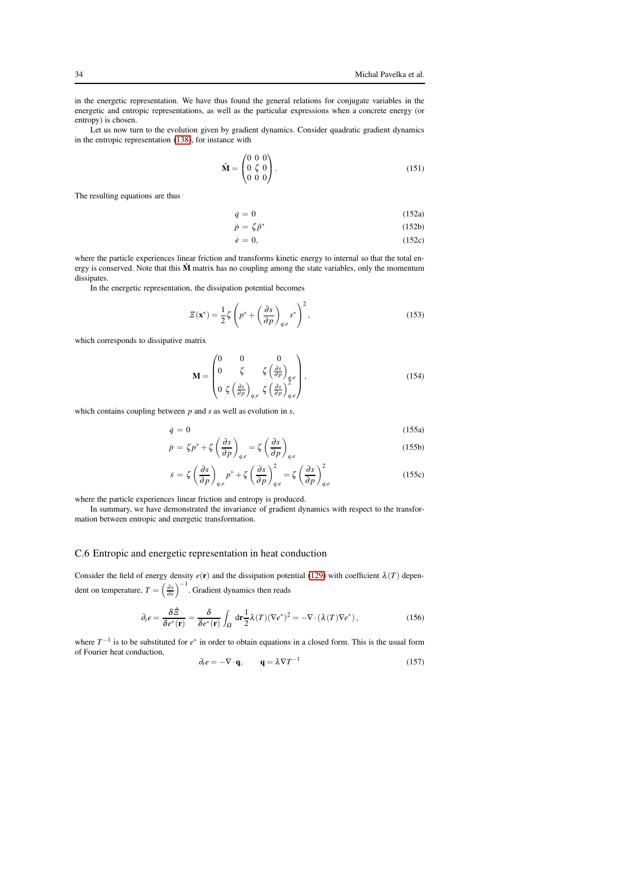in the energetic representation. We have thus found the general relations for conjugate variables in the energetic and entropic representations, as well as the particular expressions when a concrete energy (or entropy) is chosen.

Let us now turn to the evolution given by gradient dynamics. Consider quadratic gradient dynamics in the entropic representation [\(138\)](#page-31-0), for instance with

$$
\hat{\mathbf{M}} = \begin{pmatrix} 0 & 0 & 0 \\ 0 & \zeta & 0 \\ 0 & 0 & 0 \end{pmatrix} . \tag{151}
$$

The resulting equations are thus

$$
\dot{q} = 0 \tag{152a}
$$

$$
\dot{p} = \zeta \hat{p}^* \tag{152b}
$$

$$
\dot{e} = 0,\tag{152c}
$$

where the particle experiences linear friction and transforms kinetic energy to internal so that the total energy is conserved. Note that this  $\hat{M}$  matrix has no coupling among the state variables, only the momentum dissipates.

In the energetic representation, the dissipation potential becomes

$$
\Xi(\mathbf{x}^*) = \frac{1}{2}\zeta \left(p^* + \left(\frac{\partial s}{\partial p}\right)_{q,e} s^*\right)^2,\tag{153}
$$

which corresponds to dissipative matrix

$$
\mathbf{M} = \begin{pmatrix} 0 & 0 & 0 \\ 0 & \zeta & \zeta \left(\frac{\partial s}{\partial p}\right)_{q,e} \\ 0 & \zeta \left(\frac{\partial s}{\partial p}\right)_{q,e} & \zeta \left(\frac{\partial s}{\partial p}\right)_{q,e}^2 \end{pmatrix},
$$
(154)

which contains coupling between *p* and *s* as well as evolution in *s*,

$$
\dot{q} = 0 \tag{155a}
$$
\n
$$
\dot{z} = \dot{z} + \dot{z} \left( \frac{\partial s}{\partial z} \right) \qquad z \left( \frac{\partial s}{\partial z} \right) \tag{155b}
$$

$$
\dot{p} = \zeta p^* + \zeta \left(\frac{\partial p}{\partial p}\right)_{q,e} = \zeta \left(\frac{\partial p}{\partial p}\right)_{q,e}
$$
\n(155b)\n
$$
\zeta \left(\frac{\partial s}{\partial p}\right)_{q,e} = \zeta \left(\frac{\partial s}{\partial p}\right)^2_{q,e} \left(\frac{\partial s}{\partial p}\right)^2
$$
\n(155c)

$$
\dot{s} = \zeta \left(\frac{\partial s}{\partial p}\right)_{q,e} p^* + \zeta \left(\frac{\partial s}{\partial p}\right)_{q,e}^2 = \zeta \left(\frac{\partial s}{\partial p}\right)_{q,e}^2 \tag{155c}
$$

where the particle experiences linear friction and entropy is produced.

In summary, we have demonstrated the invariance of gradient dynamics with respect to the transformation between entropic and energetic transformation.

#### C.6 Entropic and energetic representation in heat conduction

Consider the field of energy density  $e(\mathbf{r})$  and the dissipation potential [\(129\)](#page-29-0) with coefficient  $\lambda(T)$  dependent on temperature,  $T = \left(\frac{\partial s}{\partial e}\right)^{-1}$ . Gradient dynamics then reads

$$
\partial_t e = \frac{\delta \hat{z}}{\delta e^*(\mathbf{r})} = \frac{\delta}{\delta e^*(\mathbf{r})} \int_{\Omega} d\mathbf{r} \frac{1}{2} \lambda(T) (\nabla e^*)^2 = -\nabla \cdot (\lambda(T) \nabla e^*) \,, \tag{156}
$$

where  $T^{-1}$  is to be substituted for  $e^*$  in order to obtain equations in a closed form. This is the usual form of Fourier heat conduction,

$$
\partial_t e = -\nabla \cdot \mathbf{q}, \qquad \mathbf{q} = \lambda \nabla T^{-1} \tag{157}
$$